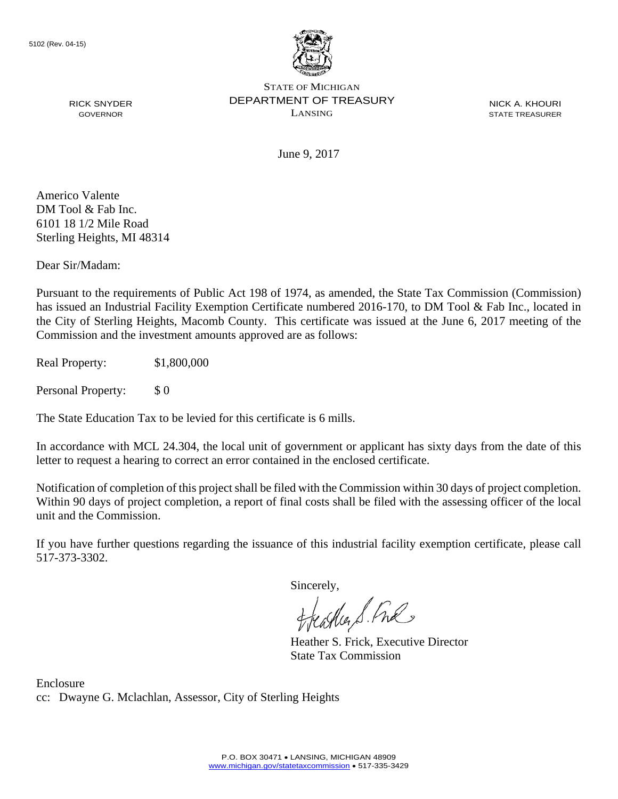

NICK A. KHOURI STATE TREASURER

GOVERNOR

June 9, 2017

Americo Valente DM Tool & Fab Inc. 6101 18 1/2 Mile Road Sterling Heights, MI 48314

RICK SNYDER

Dear Sir/Madam:

Pursuant to the requirements of Public Act 198 of 1974, as amended, the State Tax Commission (Commission) has issued an Industrial Facility Exemption Certificate numbered 2016-170, to DM Tool & Fab Inc., located in the City of Sterling Heights, Macomb County. This certificate was issued at the June 6, 2017 meeting of the Commission and the investment amounts approved are as follows:

Real Property: \$1,800,000

Personal Property: \$ 0

The State Education Tax to be levied for this certificate is 6 mills.

In accordance with MCL 24.304, the local unit of government or applicant has sixty days from the date of this letter to request a hearing to correct an error contained in the enclosed certificate.

Notification of completion of this project shall be filed with the Commission within 30 days of project completion. Within 90 days of project completion, a report of final costs shall be filed with the assessing officer of the local unit and the Commission.

If you have further questions regarding the issuance of this industrial facility exemption certificate, please call 517-373-3302.

Sincerely,

feastles S. Ful

Heather S. Frick, Executive Director State Tax Commission

Enclosure cc: Dwayne G. Mclachlan, Assessor, City of Sterling Heights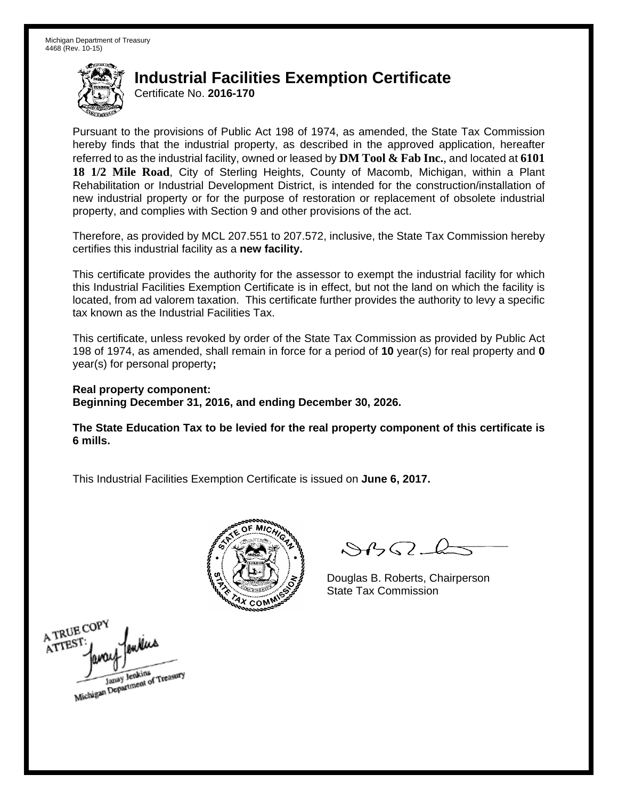Certificate No. **2016-170**

Pursuant to the provisions of Public Act 198 of 1974, as amended, the State Tax Commission hereby finds that the industrial property, as described in the approved application, hereafter referred to as the industrial facility, owned or leased by **DM Tool & Fab Inc.**, and located at **6101 18 1/2 Mile Road**, City of Sterling Heights, County of Macomb, Michigan, within a Plant Rehabilitation or Industrial Development District, is intended for the construction/installation of new industrial property or for the purpose of restoration or replacement of obsolete industrial property, and complies with Section 9 and other provisions of the act.

Therefore, as provided by MCL 207.551 to 207.572, inclusive, the State Tax Commission hereby certifies this industrial facility as a **new facility.** 

This certificate provides the authority for the assessor to exempt the industrial facility for which this Industrial Facilities Exemption Certificate is in effect, but not the land on which the facility is located, from ad valorem taxation. This certificate further provides the authority to levy a specific tax known as the Industrial Facilities Tax.

This certificate, unless revoked by order of the State Tax Commission as provided by Public Act 198 of 1974, as amended, shall remain in force for a period of **10** year(s) for real property and **0** year(s) for personal property**;** 

**Real property component: Beginning December 31, 2016, and ending December 30, 2026.** 

**The State Education Tax to be levied for the real property component of this certificate is 6 mills.** 



 $\mathcal{A}$ 

Douglas B. Roberts, Chairperson

A TRUE COPY ATTEST Michigan Department of Treasury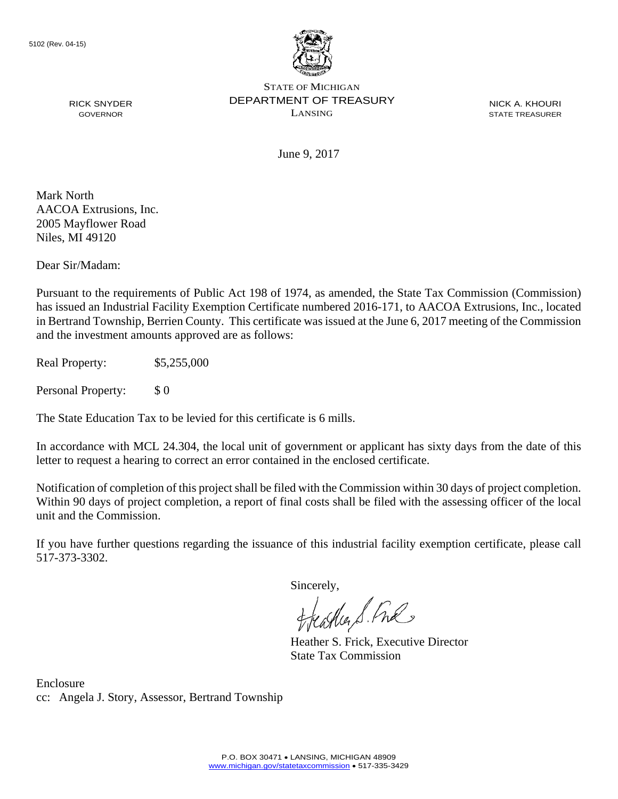

NICK A. KHOURI STATE TREASURER

June 9, 2017

Mark North AACOA Extrusions, Inc. 2005 Mayflower Road Niles, MI 49120

RICK SNYDER GOVERNOR

Dear Sir/Madam:

Pursuant to the requirements of Public Act 198 of 1974, as amended, the State Tax Commission (Commission) has issued an Industrial Facility Exemption Certificate numbered 2016-171, to AACOA Extrusions, Inc., located in Bertrand Township, Berrien County. This certificate was issued at the June 6, 2017 meeting of the Commission and the investment amounts approved are as follows:

Real Property: \$5,255,000

Personal Property: \$ 0

The State Education Tax to be levied for this certificate is 6 mills.

In accordance with MCL 24.304, the local unit of government or applicant has sixty days from the date of this letter to request a hearing to correct an error contained in the enclosed certificate.

Notification of completion of this project shall be filed with the Commission within 30 days of project completion. Within 90 days of project completion, a report of final costs shall be filed with the assessing officer of the local unit and the Commission.

If you have further questions regarding the issuance of this industrial facility exemption certificate, please call 517-373-3302.

Sincerely,

teacher S. Ful

Heather S. Frick, Executive Director State Tax Commission

Enclosure cc: Angela J. Story, Assessor, Bertrand Township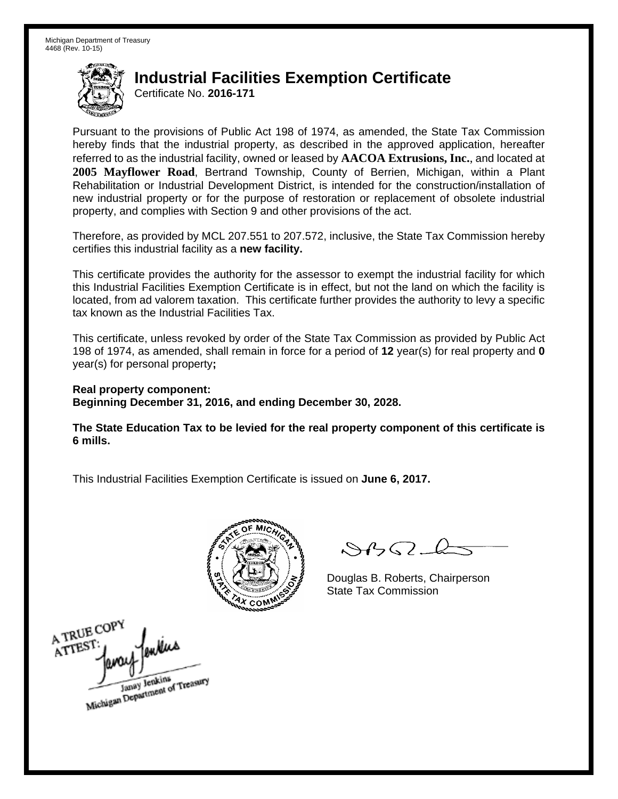Certificate No. **2016-171**

Pursuant to the provisions of Public Act 198 of 1974, as amended, the State Tax Commission hereby finds that the industrial property, as described in the approved application, hereafter referred to as the industrial facility, owned or leased by **AACOA Extrusions, Inc.**, and located at **2005 Mayflower Road**, Bertrand Township, County of Berrien, Michigan, within a Plant Rehabilitation or Industrial Development District, is intended for the construction/installation of new industrial property or for the purpose of restoration or replacement of obsolete industrial property, and complies with Section 9 and other provisions of the act.

Therefore, as provided by MCL 207.551 to 207.572, inclusive, the State Tax Commission hereby certifies this industrial facility as a **new facility.** 

This certificate provides the authority for the assessor to exempt the industrial facility for which this Industrial Facilities Exemption Certificate is in effect, but not the land on which the facility is located, from ad valorem taxation. This certificate further provides the authority to levy a specific tax known as the Industrial Facilities Tax.

This certificate, unless revoked by order of the State Tax Commission as provided by Public Act 198 of 1974, as amended, shall remain in force for a period of **12** year(s) for real property and **0** year(s) for personal property**;** 

**Real property component: Beginning December 31, 2016, and ending December 30, 2028.** 

**The State Education Tax to be levied for the real property component of this certificate is 6 mills.** 



 $\mathcal{S}4$ 

Douglas B. Roberts, Chairperson

A TRUE COPY milias ATTEST Janay Jenkins<br>Michigan Department of Treasury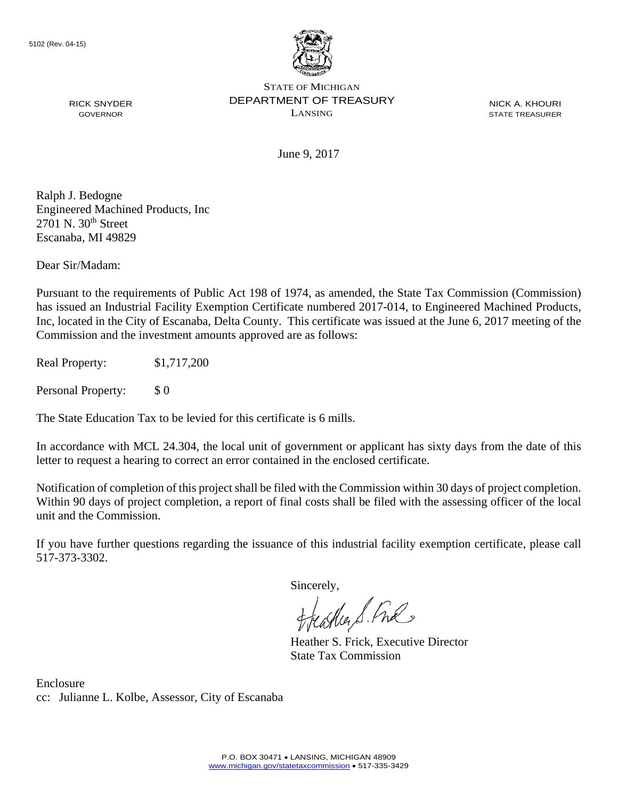

NICK A. KHOURI STATE TREASURER

June 9, 2017

Ralph J. Bedogne Engineered Machined Products, Inc  $2701$  N.  $30<sup>th</sup>$  Street Escanaba, MI 49829

RICK SNYDER GOVERNOR

Dear Sir/Madam:

Pursuant to the requirements of Public Act 198 of 1974, as amended, the State Tax Commission (Commission) has issued an Industrial Facility Exemption Certificate numbered 2017-014, to Engineered Machined Products, Inc, located in the City of Escanaba, Delta County. This certificate was issued at the June 6, 2017 meeting of the Commission and the investment amounts approved are as follows:

Real Property: \$1,717,200

Personal Property: \$ 0

The State Education Tax to be levied for this certificate is 6 mills.

In accordance with MCL 24.304, the local unit of government or applicant has sixty days from the date of this letter to request a hearing to correct an error contained in the enclosed certificate.

Notification of completion of this project shall be filed with the Commission within 30 days of project completion. Within 90 days of project completion, a report of final costs shall be filed with the assessing officer of the local unit and the Commission.

If you have further questions regarding the issuance of this industrial facility exemption certificate, please call 517-373-3302.

Sincerely,

teacher S. Ful

Heather S. Frick, Executive Director State Tax Commission

Enclosure cc: Julianne L. Kolbe, Assessor, City of Escanaba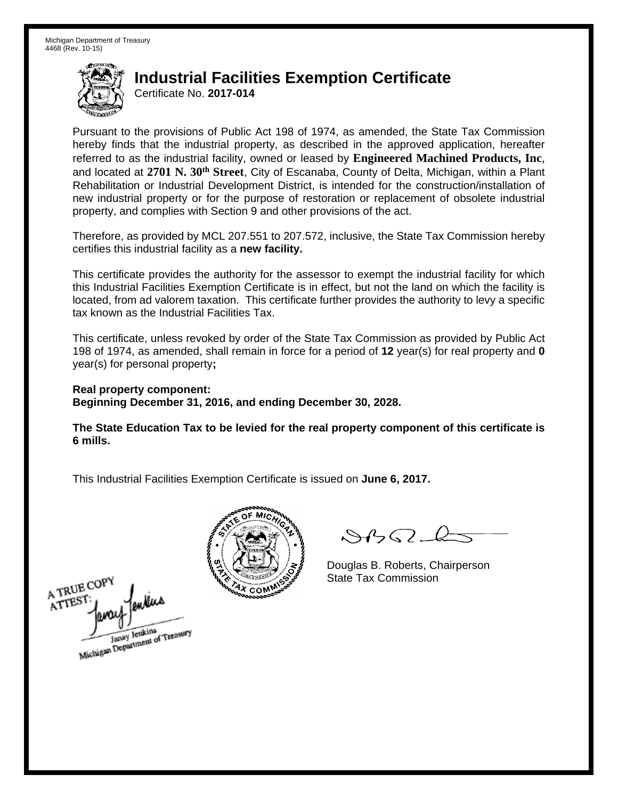Certificate No. **2017-014**

Pursuant to the provisions of Public Act 198 of 1974, as amended, the State Tax Commission hereby finds that the industrial property, as described in the approved application, hereafter referred to as the industrial facility, owned or leased by **Engineered Machined Products, Inc**, and located at **2701 N. 30th Street**, City of Escanaba, County of Delta, Michigan, within a Plant Rehabilitation or Industrial Development District, is intended for the construction/installation of new industrial property or for the purpose of restoration or replacement of obsolete industrial property, and complies with Section 9 and other provisions of the act.

Therefore, as provided by MCL 207.551 to 207.572, inclusive, the State Tax Commission hereby certifies this industrial facility as a **new facility.** 

This certificate provides the authority for the assessor to exempt the industrial facility for which this Industrial Facilities Exemption Certificate is in effect, but not the land on which the facility is located, from ad valorem taxation. This certificate further provides the authority to levy a specific tax known as the Industrial Facilities Tax.

This certificate, unless revoked by order of the State Tax Commission as provided by Public Act 198 of 1974, as amended, shall remain in force for a period of **12** year(s) for real property and **0** year(s) for personal property**;** 

**Real property component: Beginning December 31, 2016, and ending December 30, 2028.** 

**The State Education Tax to be levied for the real property component of this certificate is 6 mills.** 



 $8450 - 6$ 

Douglas B. Roberts, Chairperson

A TRUE COPY 1 in the state Tax Commission ATTES1 Janay Jenkins<br>Michigan Department of Treasury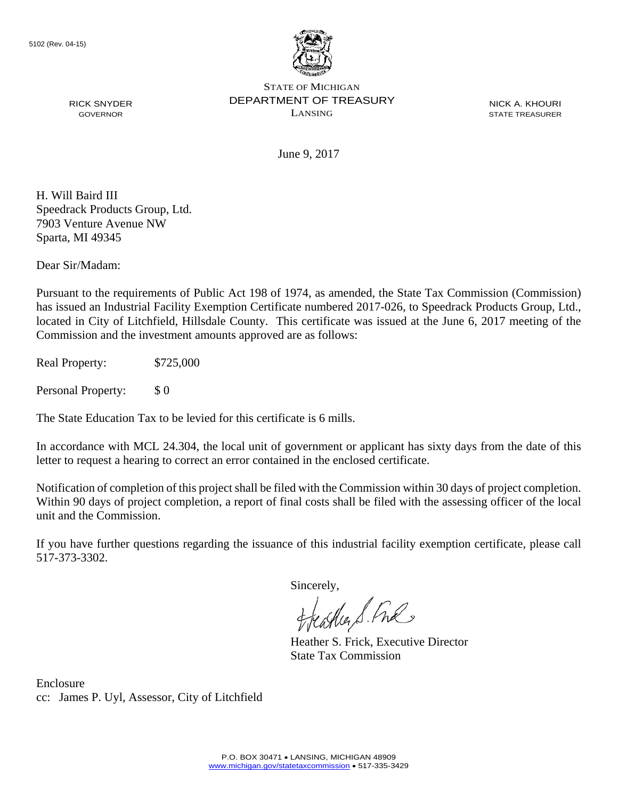

NICK A. KHOURI STATE TREASURER

June 9, 2017

H. Will Baird III Speedrack Products Group, Ltd. 7903 Venture Avenue NW Sparta, MI 49345

RICK SNYDER GOVERNOR

Dear Sir/Madam:

Pursuant to the requirements of Public Act 198 of 1974, as amended, the State Tax Commission (Commission) has issued an Industrial Facility Exemption Certificate numbered 2017-026, to Speedrack Products Group, Ltd., located in City of Litchfield, Hillsdale County. This certificate was issued at the June 6, 2017 meeting of the Commission and the investment amounts approved are as follows:

Real Property: \$725,000

Personal Property: \$ 0

The State Education Tax to be levied for this certificate is 6 mills.

In accordance with MCL 24.304, the local unit of government or applicant has sixty days from the date of this letter to request a hearing to correct an error contained in the enclosed certificate.

Notification of completion of this project shall be filed with the Commission within 30 days of project completion. Within 90 days of project completion, a report of final costs shall be filed with the assessing officer of the local unit and the Commission.

If you have further questions regarding the issuance of this industrial facility exemption certificate, please call 517-373-3302.

Sincerely,

teacher S. Ful

Heather S. Frick, Executive Director State Tax Commission

Enclosure cc: James P. Uyl, Assessor, City of Litchfield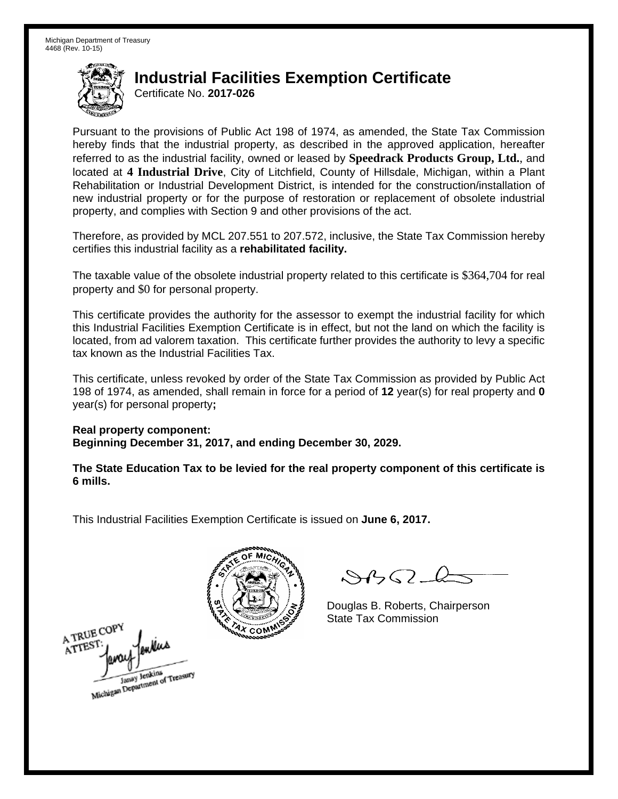Certificate No. **2017-026**

Pursuant to the provisions of Public Act 198 of 1974, as amended, the State Tax Commission hereby finds that the industrial property, as described in the approved application, hereafter referred to as the industrial facility, owned or leased by **Speedrack Products Group, Ltd.**, and located at **4 Industrial Drive**, City of Litchfield, County of Hillsdale, Michigan, within a Plant Rehabilitation or Industrial Development District, is intended for the construction/installation of new industrial property or for the purpose of restoration or replacement of obsolete industrial property, and complies with Section 9 and other provisions of the act.

Therefore, as provided by MCL 207.551 to 207.572, inclusive, the State Tax Commission hereby certifies this industrial facility as a **rehabilitated facility.** 

The taxable value of the obsolete industrial property related to this certificate is \$364,704 for real property and \$0 for personal property.

This certificate provides the authority for the assessor to exempt the industrial facility for which this Industrial Facilities Exemption Certificate is in effect, but not the land on which the facility is located, from ad valorem taxation. This certificate further provides the authority to levy a specific tax known as the Industrial Facilities Tax.

This certificate, unless revoked by order of the State Tax Commission as provided by Public Act 198 of 1974, as amended, shall remain in force for a period of **12** year(s) for real property and **0** year(s) for personal property**;** 

**Real property component: Beginning December 31, 2017, and ending December 30, 2029.** 

**The State Education Tax to be levied for the real property component of this certificate is 6 mills.** 



 $84562 - 6$ 

Douglas B. Roberts, Chairperson

A TRUE COPY 1 ATTEST Janay Jenkins<br>Michigan Department of Treasury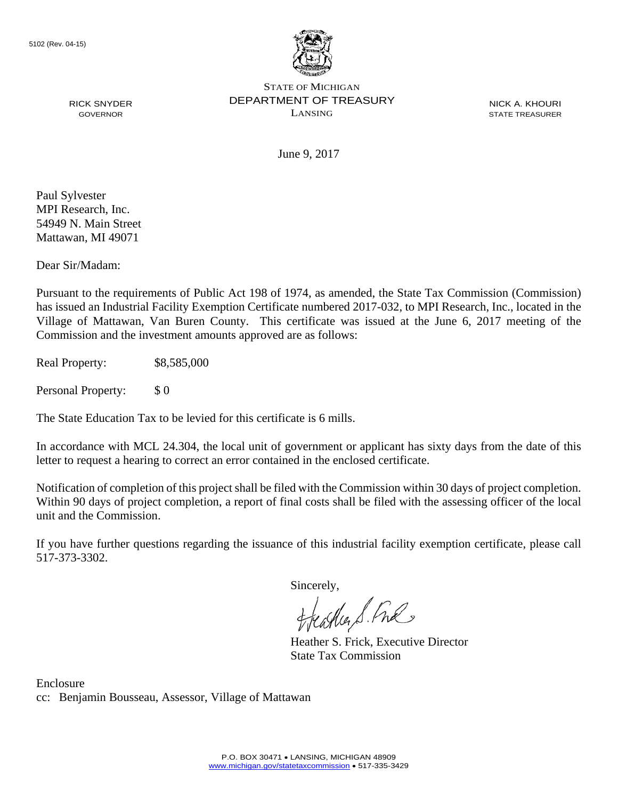

NICK A. KHOURI STATE TREASURER

June 9, 2017

Paul Sylvester MPI Research, Inc. 54949 N. Main Street Mattawan, MI 49071

RICK SNYDER GOVERNOR

Dear Sir/Madam:

Pursuant to the requirements of Public Act 198 of 1974, as amended, the State Tax Commission (Commission) has issued an Industrial Facility Exemption Certificate numbered 2017-032, to MPI Research, Inc., located in the Village of Mattawan, Van Buren County. This certificate was issued at the June 6, 2017 meeting of the Commission and the investment amounts approved are as follows:

Real Property: \$8,585,000

Personal Property: \$ 0

The State Education Tax to be levied for this certificate is 6 mills.

In accordance with MCL 24.304, the local unit of government or applicant has sixty days from the date of this letter to request a hearing to correct an error contained in the enclosed certificate.

Notification of completion of this project shall be filed with the Commission within 30 days of project completion. Within 90 days of project completion, a report of final costs shall be filed with the assessing officer of the local unit and the Commission.

If you have further questions regarding the issuance of this industrial facility exemption certificate, please call 517-373-3302.

Sincerely,

feastles S. Ful

Heather S. Frick, Executive Director State Tax Commission

Enclosure cc: Benjamin Bousseau, Assessor, Village of Mattawan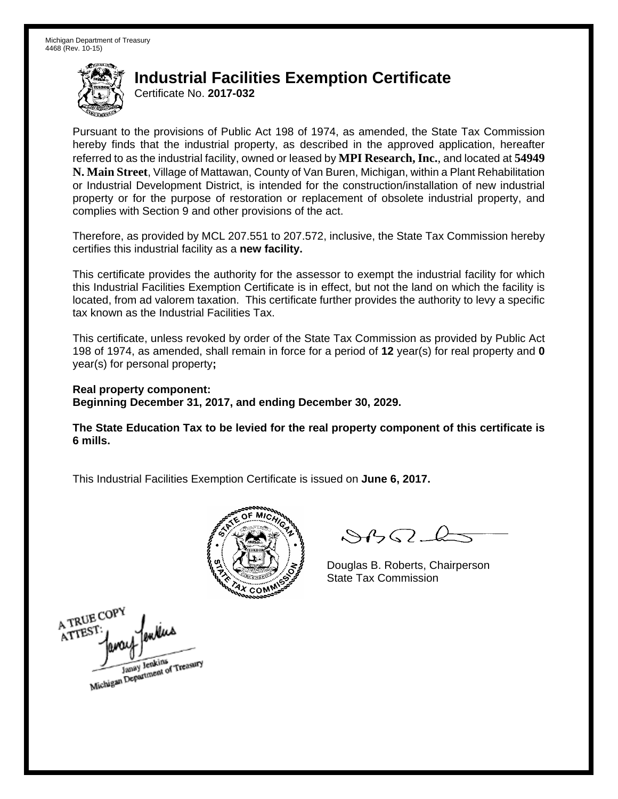Certificate No. **2017-032**

Pursuant to the provisions of Public Act 198 of 1974, as amended, the State Tax Commission hereby finds that the industrial property, as described in the approved application, hereafter referred to as the industrial facility, owned or leased by **MPI Research, Inc.**, and located at **54949 N. Main Street**, Village of Mattawan, County of Van Buren, Michigan, within a Plant Rehabilitation or Industrial Development District, is intended for the construction/installation of new industrial property or for the purpose of restoration or replacement of obsolete industrial property, and complies with Section 9 and other provisions of the act.

Therefore, as provided by MCL 207.551 to 207.572, inclusive, the State Tax Commission hereby certifies this industrial facility as a **new facility.** 

This certificate provides the authority for the assessor to exempt the industrial facility for which this Industrial Facilities Exemption Certificate is in effect, but not the land on which the facility is located, from ad valorem taxation. This certificate further provides the authority to levy a specific tax known as the Industrial Facilities Tax.

This certificate, unless revoked by order of the State Tax Commission as provided by Public Act 198 of 1974, as amended, shall remain in force for a period of **12** year(s) for real property and **0** year(s) for personal property**;** 

**Real property component: Beginning December 31, 2017, and ending December 30, 2029.** 

**The State Education Tax to be levied for the real property component of this certificate is 6 mills.** 



 $8450 - 6$ 

Douglas B. Roberts, Chairperson State Tax Commission

A TRUE COPY ATTEST Janay Jenkins<br>Michigan Department of Treasury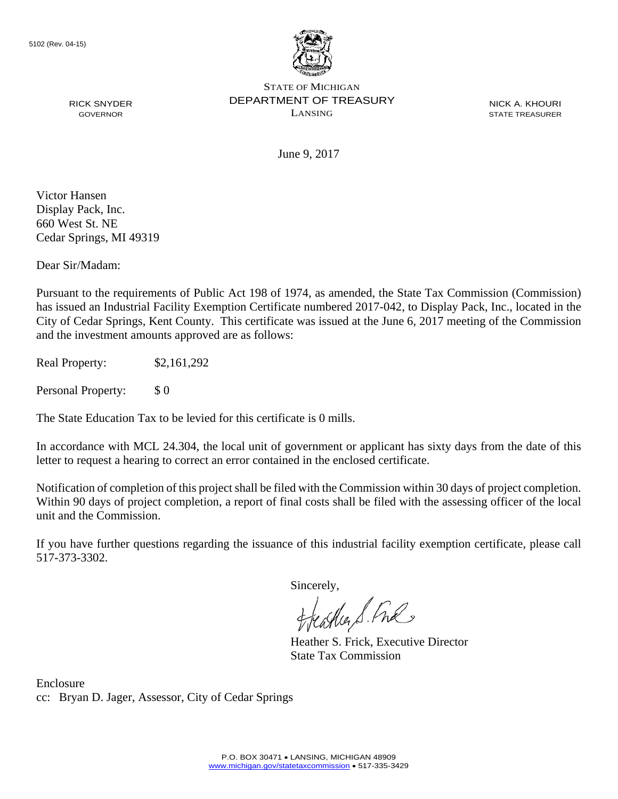

NICK A. KHOURI STATE TREASURER

June 9, 2017

Victor Hansen Display Pack, Inc. 660 West St. NE Cedar Springs, MI 49319

RICK SNYDER GOVERNOR

Dear Sir/Madam:

Pursuant to the requirements of Public Act 198 of 1974, as amended, the State Tax Commission (Commission) has issued an Industrial Facility Exemption Certificate numbered 2017-042, to Display Pack, Inc., located in the City of Cedar Springs, Kent County. This certificate was issued at the June 6, 2017 meeting of the Commission and the investment amounts approved are as follows:

Real Property: \$2,161,292

Personal Property: \$ 0

The State Education Tax to be levied for this certificate is 0 mills.

In accordance with MCL 24.304, the local unit of government or applicant has sixty days from the date of this letter to request a hearing to correct an error contained in the enclosed certificate.

Notification of completion of this project shall be filed with the Commission within 30 days of project completion. Within 90 days of project completion, a report of final costs shall be filed with the assessing officer of the local unit and the Commission.

If you have further questions regarding the issuance of this industrial facility exemption certificate, please call 517-373-3302.

Sincerely,

teacher S. Ful

Heather S. Frick, Executive Director State Tax Commission

Enclosure cc: Bryan D. Jager, Assessor, City of Cedar Springs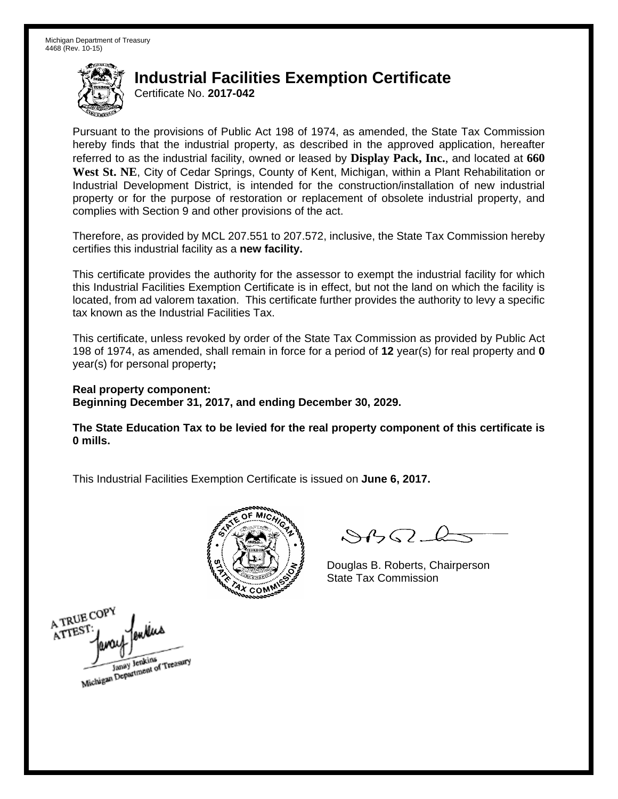Certificate No. **2017-042**

Pursuant to the provisions of Public Act 198 of 1974, as amended, the State Tax Commission hereby finds that the industrial property, as described in the approved application, hereafter referred to as the industrial facility, owned or leased by **Display Pack, Inc.**, and located at **660 West St. NE**, City of Cedar Springs, County of Kent, Michigan, within a Plant Rehabilitation or Industrial Development District, is intended for the construction/installation of new industrial property or for the purpose of restoration or replacement of obsolete industrial property, and complies with Section 9 and other provisions of the act.

Therefore, as provided by MCL 207.551 to 207.572, inclusive, the State Tax Commission hereby certifies this industrial facility as a **new facility.** 

This certificate provides the authority for the assessor to exempt the industrial facility for which this Industrial Facilities Exemption Certificate is in effect, but not the land on which the facility is located, from ad valorem taxation. This certificate further provides the authority to levy a specific tax known as the Industrial Facilities Tax.

This certificate, unless revoked by order of the State Tax Commission as provided by Public Act 198 of 1974, as amended, shall remain in force for a period of **12** year(s) for real property and **0** year(s) for personal property**;** 

**Real property component: Beginning December 31, 2017, and ending December 30, 2029.** 

**The State Education Tax to be levied for the real property component of this certificate is 0 mills.** 



 $8450 - 6$ 

Douglas B. Roberts, Chairperson State Tax Commission

A TRUE COPY A TTEST Janay Jenkins<br>Michigan Department of Treasury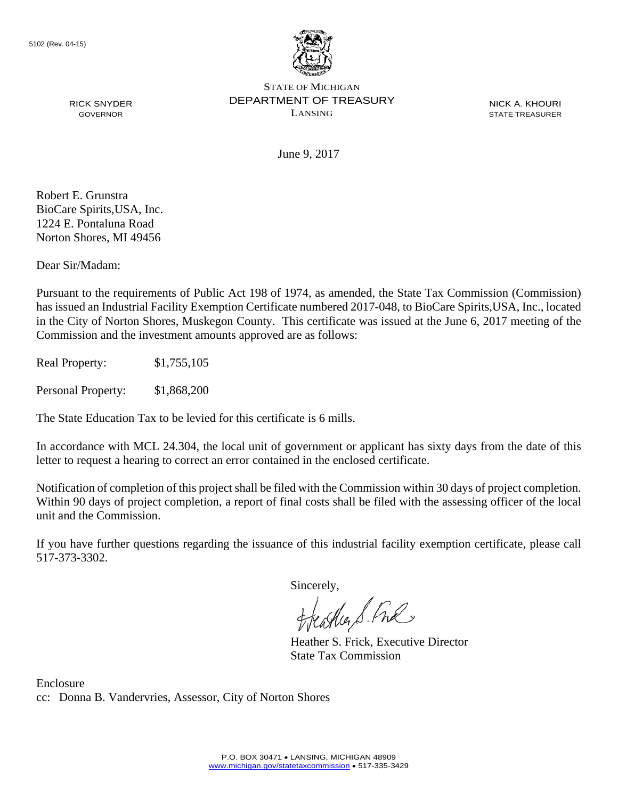

NICK A. KHOURI STATE TREASURER

June 9, 2017

Robert E. Grunstra BioCare Spirits,USA, Inc. 1224 E. Pontaluna Road Norton Shores, MI 49456

RICK SNYDER GOVERNOR

Dear Sir/Madam:

Pursuant to the requirements of Public Act 198 of 1974, as amended, the State Tax Commission (Commission) has issued an Industrial Facility Exemption Certificate numbered 2017-048, to BioCare Spirits,USA, Inc., located in the City of Norton Shores, Muskegon County. This certificate was issued at the June 6, 2017 meeting of the Commission and the investment amounts approved are as follows:

Real Property: \$1,755,105

Personal Property: \$1,868,200

The State Education Tax to be levied for this certificate is 6 mills.

In accordance with MCL 24.304, the local unit of government or applicant has sixty days from the date of this letter to request a hearing to correct an error contained in the enclosed certificate.

Notification of completion of this project shall be filed with the Commission within 30 days of project completion. Within 90 days of project completion, a report of final costs shall be filed with the assessing officer of the local unit and the Commission.

If you have further questions regarding the issuance of this industrial facility exemption certificate, please call 517-373-3302.

Sincerely,

teacher S. Ful

Heather S. Frick, Executive Director State Tax Commission

Enclosure cc: Donna B. Vandervries, Assessor, City of Norton Shores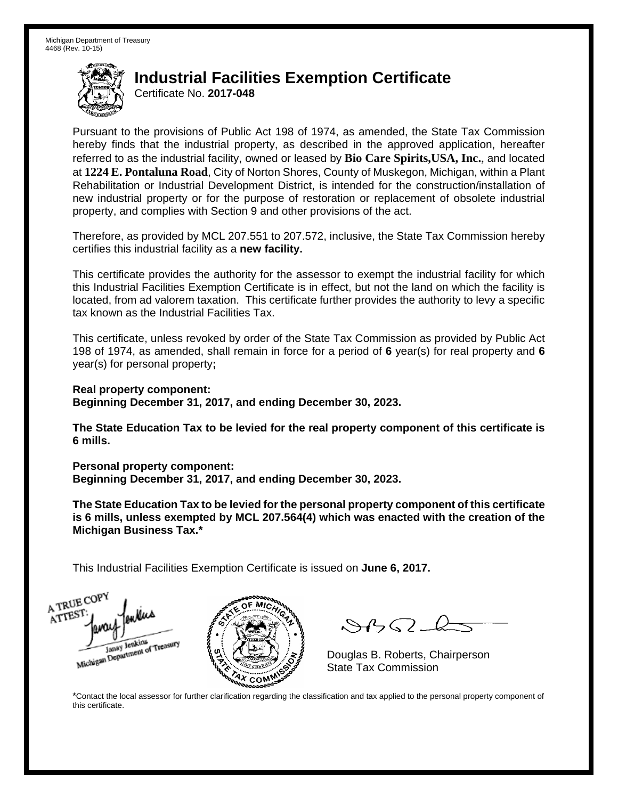Certificate No. **2017-048**

Pursuant to the provisions of Public Act 198 of 1974, as amended, the State Tax Commission hereby finds that the industrial property, as described in the approved application, hereafter referred to as the industrial facility, owned or leased by **Bio Care Spirits,USA, Inc.**, and located at **1224 E. Pontaluna Road**, City of Norton Shores, County of Muskegon, Michigan, within a Plant Rehabilitation or Industrial Development District, is intended for the construction/installation of new industrial property or for the purpose of restoration or replacement of obsolete industrial property, and complies with Section 9 and other provisions of the act.

Therefore, as provided by MCL 207.551 to 207.572, inclusive, the State Tax Commission hereby certifies this industrial facility as a **new facility.** 

This certificate provides the authority for the assessor to exempt the industrial facility for which this Industrial Facilities Exemption Certificate is in effect, but not the land on which the facility is located, from ad valorem taxation. This certificate further provides the authority to levy a specific tax known as the Industrial Facilities Tax.

This certificate, unless revoked by order of the State Tax Commission as provided by Public Act 198 of 1974, as amended, shall remain in force for a period of **6** year(s) for real property and **6** year(s) for personal property**;** 

**Real property component: Beginning December 31, 2017, and ending December 30, 2023.** 

**The State Education Tax to be levied for the real property component of this certificate is 6 mills.** 

**Personal property component:** 

**Beginning December 31, 2017, and ending December 30, 2023.** 

**The State Education Tax to be levied for the personal property component of this certificate is 6 mills, unless exempted by MCL 207.564(4) which was enacted with the creation of the Michigan Business Tax.\*** 

This Industrial Facilities Exemption Certificate is issued on **June 6, 2017.**





 $\mathcal{S}4\mathcal{G}$ 

Douglas B. Roberts, Chairperson

\*Contact the local assessor for further clarification regarding the classification and tax applied to the personal property component of this certificate.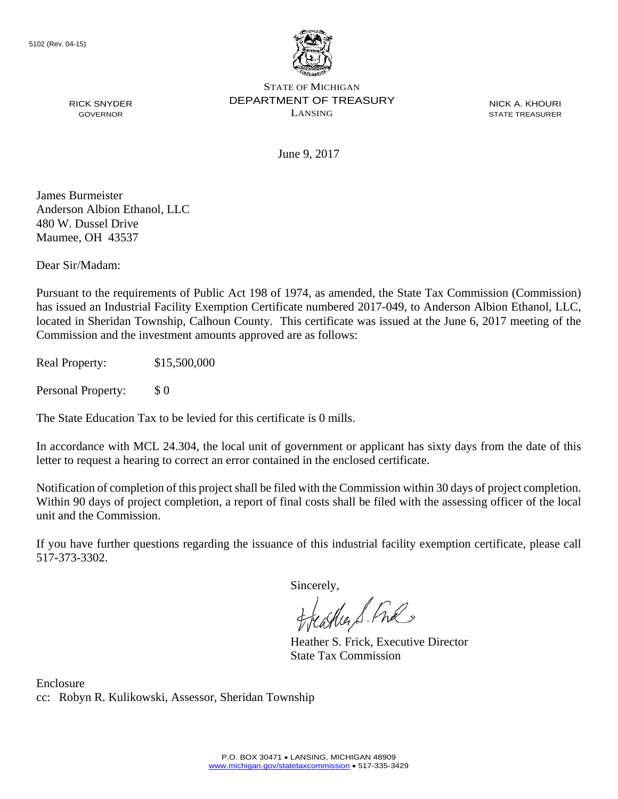

NICK A. KHOURI STATE TREASURER

June 9, 2017

James Burmeister Anderson Albion Ethanol, LLC 480 W. Dussel Drive Maumee, OH 43537

RICK SNYDER GOVERNOR

Dear Sir/Madam:

Pursuant to the requirements of Public Act 198 of 1974, as amended, the State Tax Commission (Commission) has issued an Industrial Facility Exemption Certificate numbered 2017-049, to Anderson Albion Ethanol, LLC, located in Sheridan Township, Calhoun County. This certificate was issued at the June 6, 2017 meeting of the Commission and the investment amounts approved are as follows:

Real Property: \$15,500,000

Personal Property: \$ 0

The State Education Tax to be levied for this certificate is 0 mills.

In accordance with MCL 24.304, the local unit of government or applicant has sixty days from the date of this letter to request a hearing to correct an error contained in the enclosed certificate.

Notification of completion of this project shall be filed with the Commission within 30 days of project completion. Within 90 days of project completion, a report of final costs shall be filed with the assessing officer of the local unit and the Commission.

If you have further questions regarding the issuance of this industrial facility exemption certificate, please call 517-373-3302.

Sincerely,

feastles S. Ful

Heather S. Frick, Executive Director State Tax Commission

Enclosure cc: Robyn R. Kulikowski, Assessor, Sheridan Township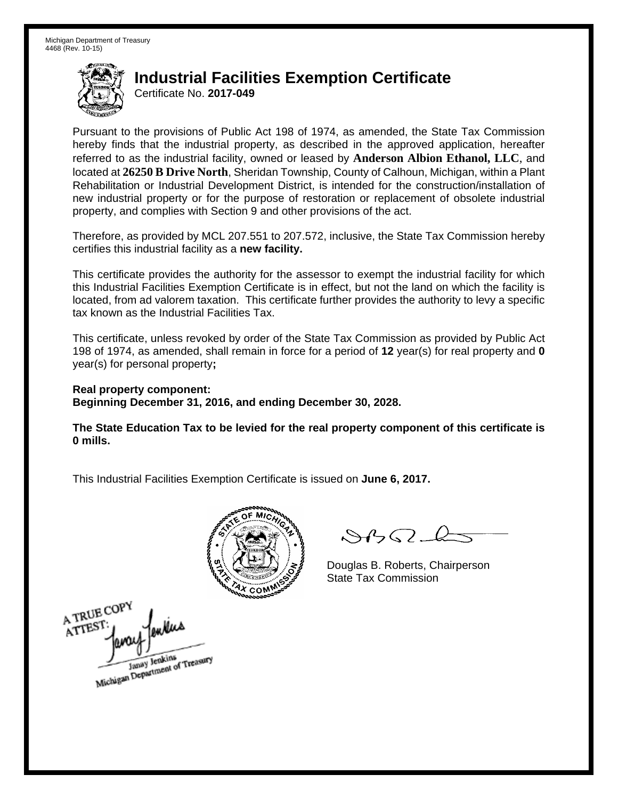Certificate No. **2017-049**

Pursuant to the provisions of Public Act 198 of 1974, as amended, the State Tax Commission hereby finds that the industrial property, as described in the approved application, hereafter referred to as the industrial facility, owned or leased by **Anderson Albion Ethanol, LLC**, and located at **26250 B Drive North**, Sheridan Township, County of Calhoun, Michigan, within a Plant Rehabilitation or Industrial Development District, is intended for the construction/installation of new industrial property or for the purpose of restoration or replacement of obsolete industrial property, and complies with Section 9 and other provisions of the act.

Therefore, as provided by MCL 207.551 to 207.572, inclusive, the State Tax Commission hereby certifies this industrial facility as a **new facility.** 

This certificate provides the authority for the assessor to exempt the industrial facility for which this Industrial Facilities Exemption Certificate is in effect, but not the land on which the facility is located, from ad valorem taxation. This certificate further provides the authority to levy a specific tax known as the Industrial Facilities Tax.

This certificate, unless revoked by order of the State Tax Commission as provided by Public Act 198 of 1974, as amended, shall remain in force for a period of **12** year(s) for real property and **0** year(s) for personal property**;** 

**Real property component: Beginning December 31, 2016, and ending December 30, 2028.** 

**The State Education Tax to be levied for the real property component of this certificate is 0 mills.** 



 $8450 - 6$ 

Douglas B. Roberts, Chairperson State Tax Commission

A TRUE COPY ATTEST Janay Jenkins<br>Michigan Department of Treasury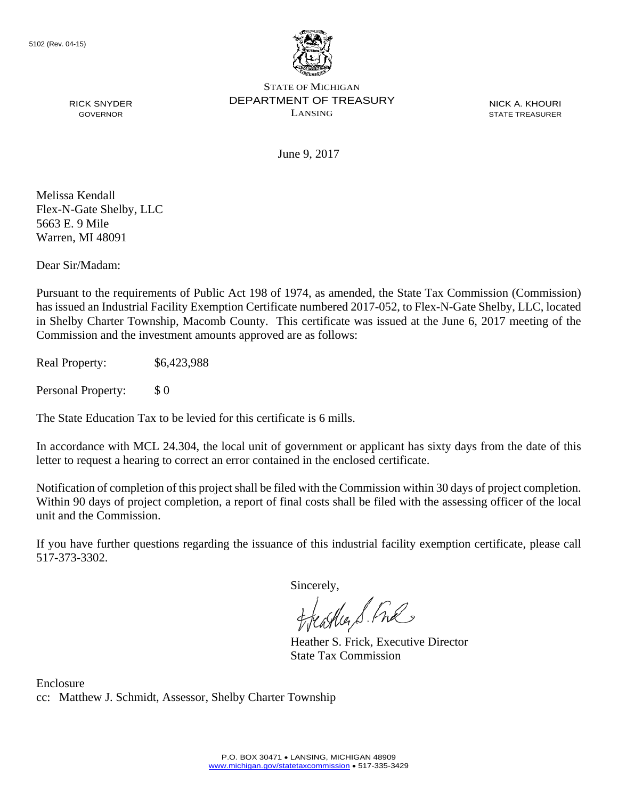

NICK A. KHOURI STATE TREASURER

June 9, 2017

Melissa Kendall Flex-N-Gate Shelby, LLC 5663 E. 9 Mile Warren, MI 48091

RICK SNYDER GOVERNOR

Dear Sir/Madam:

Pursuant to the requirements of Public Act 198 of 1974, as amended, the State Tax Commission (Commission) has issued an Industrial Facility Exemption Certificate numbered 2017-052, to Flex-N-Gate Shelby, LLC, located in Shelby Charter Township, Macomb County. This certificate was issued at the June 6, 2017 meeting of the Commission and the investment amounts approved are as follows:

Real Property: \$6,423,988

Personal Property: \$ 0

The State Education Tax to be levied for this certificate is 6 mills.

In accordance with MCL 24.304, the local unit of government or applicant has sixty days from the date of this letter to request a hearing to correct an error contained in the enclosed certificate.

Notification of completion of this project shall be filed with the Commission within 30 days of project completion. Within 90 days of project completion, a report of final costs shall be filed with the assessing officer of the local unit and the Commission.

If you have further questions regarding the issuance of this industrial facility exemption certificate, please call 517-373-3302.

Sincerely,

teacher S. Ful

Heather S. Frick, Executive Director State Tax Commission

Enclosure cc: Matthew J. Schmidt, Assessor, Shelby Charter Township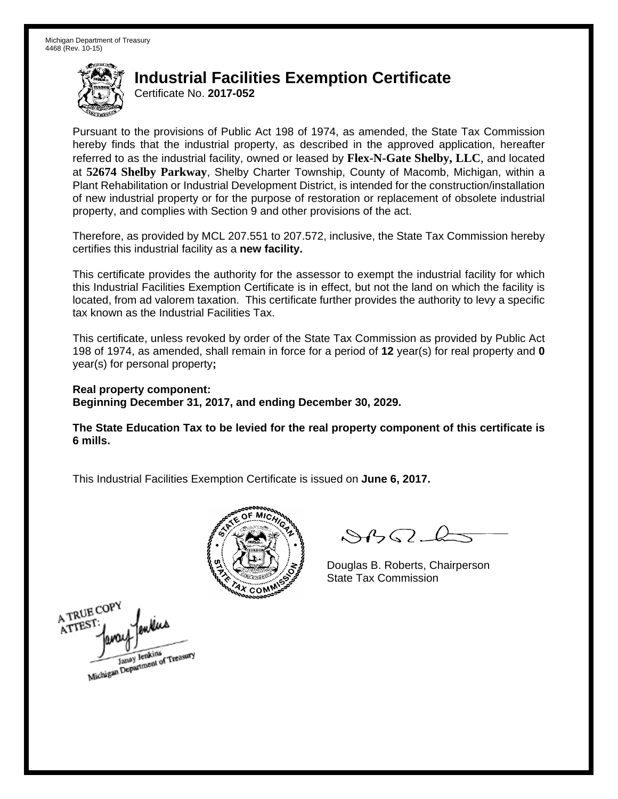Certificate No. **2017-052**

Pursuant to the provisions of Public Act 198 of 1974, as amended, the State Tax Commission hereby finds that the industrial property, as described in the approved application, hereafter referred to as the industrial facility, owned or leased by **Flex-N-Gate Shelby, LLC**, and located at **52674 Shelby Parkway**, Shelby Charter Township, County of Macomb, Michigan, within a Plant Rehabilitation or Industrial Development District, is intended for the construction/installation of new industrial property or for the purpose of restoration or replacement of obsolete industrial property, and complies with Section 9 and other provisions of the act.

Therefore, as provided by MCL 207.551 to 207.572, inclusive, the State Tax Commission hereby certifies this industrial facility as a **new facility.** 

This certificate provides the authority for the assessor to exempt the industrial facility for which this Industrial Facilities Exemption Certificate is in effect, but not the land on which the facility is located, from ad valorem taxation. This certificate further provides the authority to levy a specific tax known as the Industrial Facilities Tax.

This certificate, unless revoked by order of the State Tax Commission as provided by Public Act 198 of 1974, as amended, shall remain in force for a period of **12** year(s) for real property and **0** year(s) for personal property**;** 

**Real property component: Beginning December 31, 2017, and ending December 30, 2029.** 

**The State Education Tax to be levied for the real property component of this certificate is 6 mills.** 



 $8450 - 6$ 

Douglas B. Roberts, Chairperson State Tax Commission

A TRUE COPY ATTEST Michigan Department of Treasury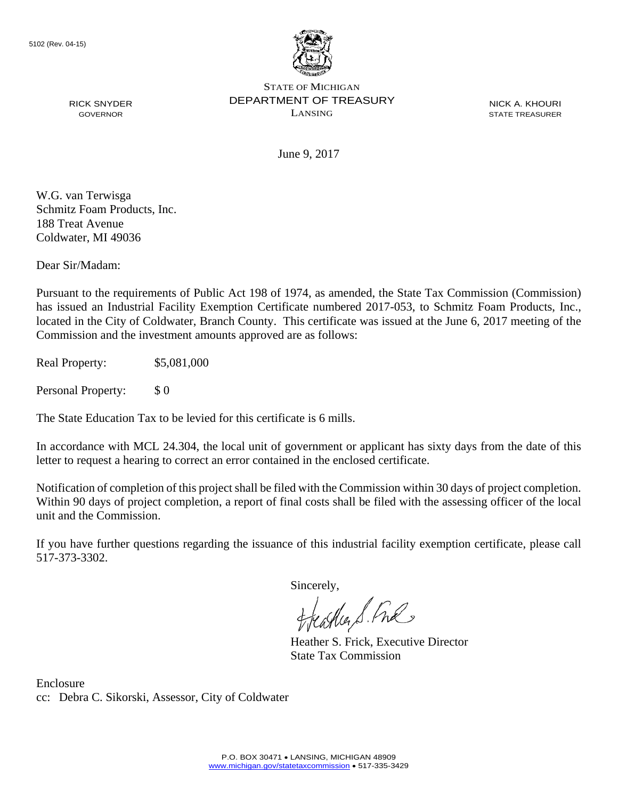

NICK A. KHOURI STATE TREASURER

June 9, 2017

W.G. van Terwisga Schmitz Foam Products, Inc. 188 Treat Avenue Coldwater, MI 49036

RICK SNYDER GOVERNOR

Dear Sir/Madam:

Pursuant to the requirements of Public Act 198 of 1974, as amended, the State Tax Commission (Commission) has issued an Industrial Facility Exemption Certificate numbered 2017-053, to Schmitz Foam Products, Inc., located in the City of Coldwater, Branch County. This certificate was issued at the June 6, 2017 meeting of the Commission and the investment amounts approved are as follows:

Real Property: \$5,081,000

Personal Property: \$ 0

The State Education Tax to be levied for this certificate is 6 mills.

In accordance with MCL 24.304, the local unit of government or applicant has sixty days from the date of this letter to request a hearing to correct an error contained in the enclosed certificate.

Notification of completion of this project shall be filed with the Commission within 30 days of project completion. Within 90 days of project completion, a report of final costs shall be filed with the assessing officer of the local unit and the Commission.

If you have further questions regarding the issuance of this industrial facility exemption certificate, please call 517-373-3302.

Sincerely,

teacher S. Ful

Heather S. Frick, Executive Director State Tax Commission

Enclosure cc: Debra C. Sikorski, Assessor, City of Coldwater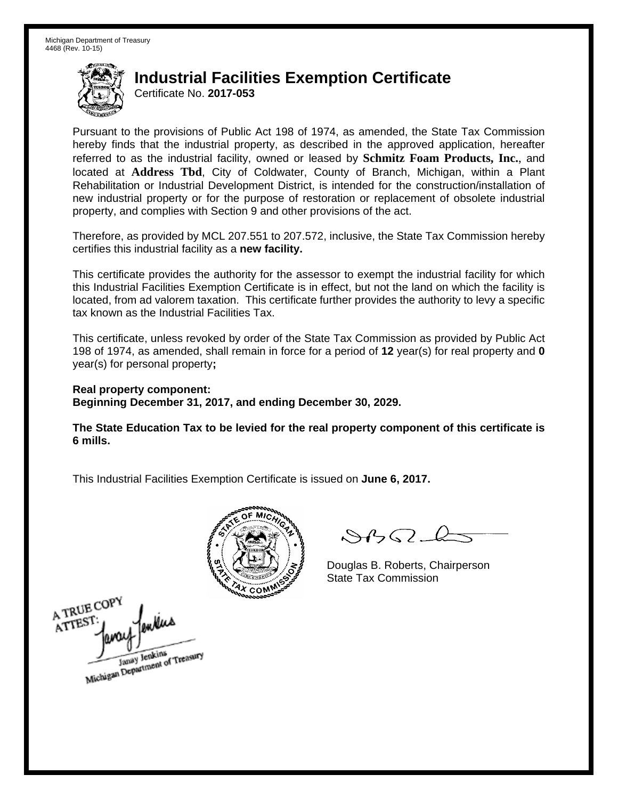Certificate No. **2017-053**

Pursuant to the provisions of Public Act 198 of 1974, as amended, the State Tax Commission hereby finds that the industrial property, as described in the approved application, hereafter referred to as the industrial facility, owned or leased by **Schmitz Foam Products, Inc.**, and located at **Address Tbd**, City of Coldwater, County of Branch, Michigan, within a Plant Rehabilitation or Industrial Development District, is intended for the construction/installation of new industrial property or for the purpose of restoration or replacement of obsolete industrial property, and complies with Section 9 and other provisions of the act.

Therefore, as provided by MCL 207.551 to 207.572, inclusive, the State Tax Commission hereby certifies this industrial facility as a **new facility.** 

This certificate provides the authority for the assessor to exempt the industrial facility for which this Industrial Facilities Exemption Certificate is in effect, but not the land on which the facility is located, from ad valorem taxation. This certificate further provides the authority to levy a specific tax known as the Industrial Facilities Tax.

This certificate, unless revoked by order of the State Tax Commission as provided by Public Act 198 of 1974, as amended, shall remain in force for a period of **12** year(s) for real property and **0** year(s) for personal property**;** 

**Real property component: Beginning December 31, 2017, and ending December 30, 2029.** 

**The State Education Tax to be levied for the real property component of this certificate is 6 mills.** 



 $8450 - 6$ 

Douglas B. Roberts, Chairperson State Tax Commission

A TRUE COPY ATTEST ykus Janay Jenkins<br>Michigan Department of Treasury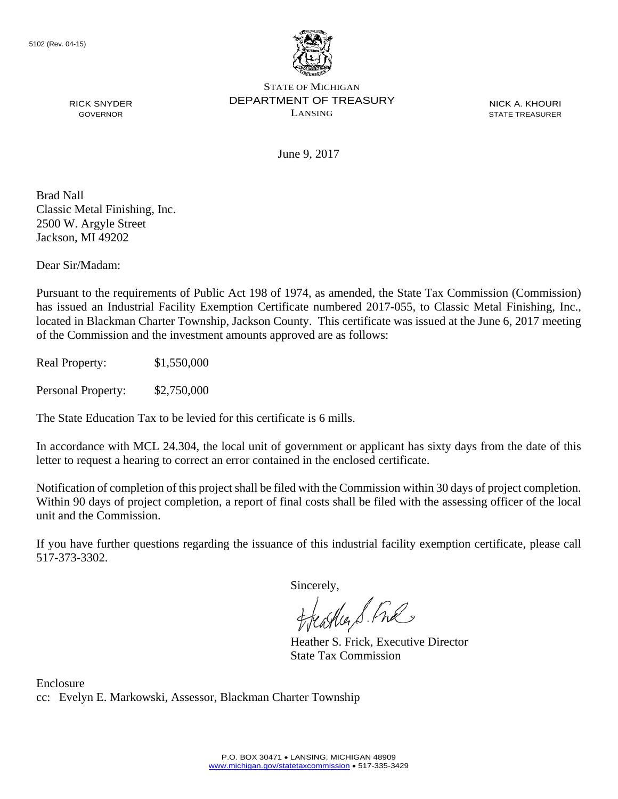

NICK A. KHOURI STATE TREASURER

June 9, 2017

Brad Nall Classic Metal Finishing, Inc. 2500 W. Argyle Street Jackson, MI 49202

RICK SNYDER GOVERNOR

Dear Sir/Madam:

Pursuant to the requirements of Public Act 198 of 1974, as amended, the State Tax Commission (Commission) has issued an Industrial Facility Exemption Certificate numbered 2017-055, to Classic Metal Finishing, Inc., located in Blackman Charter Township, Jackson County. This certificate was issued at the June 6, 2017 meeting of the Commission and the investment amounts approved are as follows:

Real Property: \$1,550,000

Personal Property: \$2,750,000

The State Education Tax to be levied for this certificate is 6 mills.

In accordance with MCL 24.304, the local unit of government or applicant has sixty days from the date of this letter to request a hearing to correct an error contained in the enclosed certificate.

Notification of completion of this project shall be filed with the Commission within 30 days of project completion. Within 90 days of project completion, a report of final costs shall be filed with the assessing officer of the local unit and the Commission.

If you have further questions regarding the issuance of this industrial facility exemption certificate, please call 517-373-3302.

Sincerely,

feastles S. Ful

Heather S. Frick, Executive Director State Tax Commission

Enclosure cc: Evelyn E. Markowski, Assessor, Blackman Charter Township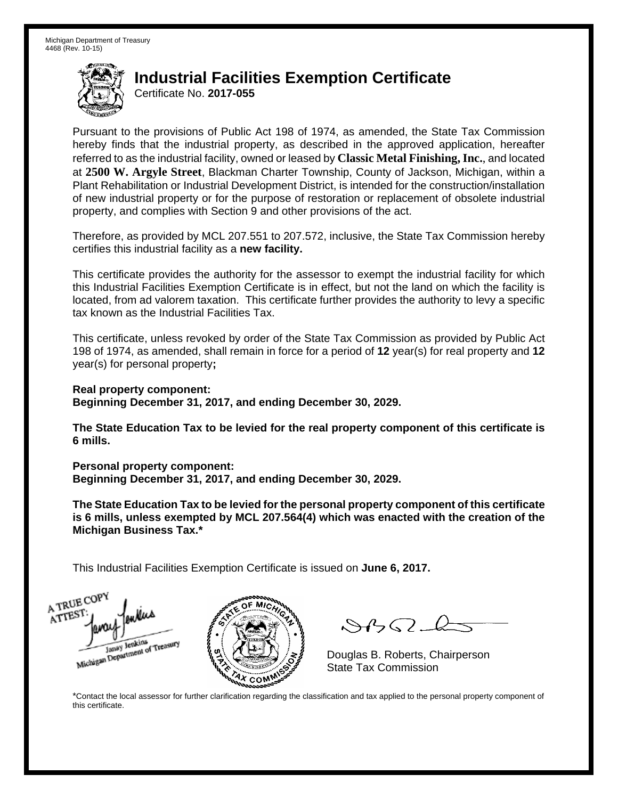Certificate No. **2017-055**

Pursuant to the provisions of Public Act 198 of 1974, as amended, the State Tax Commission hereby finds that the industrial property, as described in the approved application, hereafter referred to as the industrial facility, owned or leased by **Classic Metal Finishing, Inc.**, and located at **2500 W. Argyle Street**, Blackman Charter Township, County of Jackson, Michigan, within a Plant Rehabilitation or Industrial Development District, is intended for the construction/installation of new industrial property or for the purpose of restoration or replacement of obsolete industrial property, and complies with Section 9 and other provisions of the act.

Therefore, as provided by MCL 207.551 to 207.572, inclusive, the State Tax Commission hereby certifies this industrial facility as a **new facility.** 

This certificate provides the authority for the assessor to exempt the industrial facility for which this Industrial Facilities Exemption Certificate is in effect, but not the land on which the facility is located, from ad valorem taxation. This certificate further provides the authority to levy a specific tax known as the Industrial Facilities Tax.

This certificate, unless revoked by order of the State Tax Commission as provided by Public Act 198 of 1974, as amended, shall remain in force for a period of **12** year(s) for real property and **12** year(s) for personal property**;** 

**Real property component: Beginning December 31, 2017, and ending December 30, 2029.** 

**The State Education Tax to be levied for the real property component of this certificate is 6 mills.** 

**Personal property component:** 

**Beginning December 31, 2017, and ending December 30, 2029.** 

**The State Education Tax to be levied for the personal property component of this certificate is 6 mills, unless exempted by MCL 207.564(4) which was enacted with the creation of the Michigan Business Tax.\*** 

This Industrial Facilities Exemption Certificate is issued on **June 6, 2017.**





 $\mathcal{S}4\mathcal{G}$ 

Douglas B. Roberts, Chairperson

\*Contact the local assessor for further clarification regarding the classification and tax applied to the personal property component of this certificate.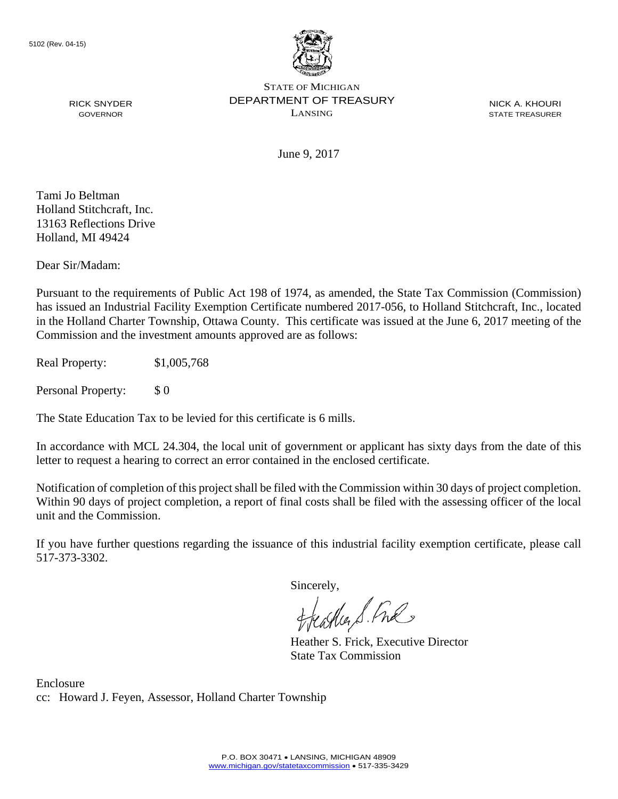

NICK A. KHOURI STATE TREASURER

June 9, 2017

Tami Jo Beltman Holland Stitchcraft, Inc. 13163 Reflections Drive Holland, MI 49424

RICK SNYDER GOVERNOR

Dear Sir/Madam:

Pursuant to the requirements of Public Act 198 of 1974, as amended, the State Tax Commission (Commission) has issued an Industrial Facility Exemption Certificate numbered 2017-056, to Holland Stitchcraft, Inc., located in the Holland Charter Township, Ottawa County. This certificate was issued at the June 6, 2017 meeting of the Commission and the investment amounts approved are as follows:

Real Property: \$1,005,768

Personal Property: \$ 0

The State Education Tax to be levied for this certificate is 6 mills.

In accordance with MCL 24.304, the local unit of government or applicant has sixty days from the date of this letter to request a hearing to correct an error contained in the enclosed certificate.

Notification of completion of this project shall be filed with the Commission within 30 days of project completion. Within 90 days of project completion, a report of final costs shall be filed with the assessing officer of the local unit and the Commission.

If you have further questions regarding the issuance of this industrial facility exemption certificate, please call 517-373-3302.

Sincerely,

teacher S. Ful

Heather S. Frick, Executive Director State Tax Commission

Enclosure cc: Howard J. Feyen, Assessor, Holland Charter Township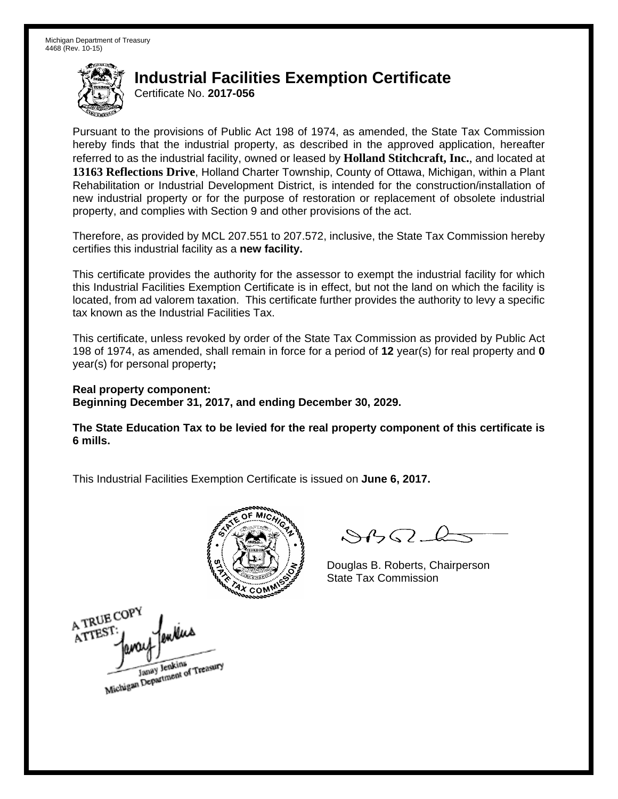Certificate No. **2017-056**

Pursuant to the provisions of Public Act 198 of 1974, as amended, the State Tax Commission hereby finds that the industrial property, as described in the approved application, hereafter referred to as the industrial facility, owned or leased by **Holland Stitchcraft, Inc.**, and located at **13163 Reflections Drive**, Holland Charter Township, County of Ottawa, Michigan, within a Plant Rehabilitation or Industrial Development District, is intended for the construction/installation of new industrial property or for the purpose of restoration or replacement of obsolete industrial property, and complies with Section 9 and other provisions of the act.

Therefore, as provided by MCL 207.551 to 207.572, inclusive, the State Tax Commission hereby certifies this industrial facility as a **new facility.** 

This certificate provides the authority for the assessor to exempt the industrial facility for which this Industrial Facilities Exemption Certificate is in effect, but not the land on which the facility is located, from ad valorem taxation. This certificate further provides the authority to levy a specific tax known as the Industrial Facilities Tax.

This certificate, unless revoked by order of the State Tax Commission as provided by Public Act 198 of 1974, as amended, shall remain in force for a period of **12** year(s) for real property and **0** year(s) for personal property**;** 

**Real property component: Beginning December 31, 2017, and ending December 30, 2029.** 

**The State Education Tax to be levied for the real property component of this certificate is 6 mills.** 



 $8450 - 6$ 

Douglas B. Roberts, Chairperson State Tax Commission

A TRUE COP ATTES Janay Jenkins<br>Michigan Department of Treasury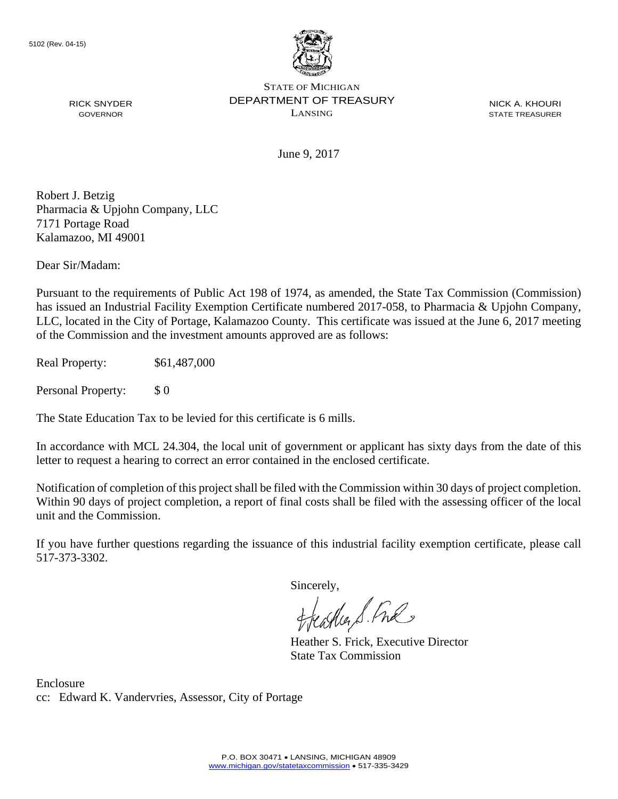

NICK A. KHOURI STATE TREASURER

June 9, 2017

Robert J. Betzig Pharmacia & Upjohn Company, LLC 7171 Portage Road Kalamazoo, MI 49001

RICK SNYDER GOVERNOR

Dear Sir/Madam:

Pursuant to the requirements of Public Act 198 of 1974, as amended, the State Tax Commission (Commission) has issued an Industrial Facility Exemption Certificate numbered 2017-058, to Pharmacia & Upjohn Company, LLC, located in the City of Portage, Kalamazoo County. This certificate was issued at the June 6, 2017 meeting of the Commission and the investment amounts approved are as follows:

Real Property: \$61,487,000

Personal Property: \$ 0

The State Education Tax to be levied for this certificate is 6 mills.

In accordance with MCL 24.304, the local unit of government or applicant has sixty days from the date of this letter to request a hearing to correct an error contained in the enclosed certificate.

Notification of completion of this project shall be filed with the Commission within 30 days of project completion. Within 90 days of project completion, a report of final costs shall be filed with the assessing officer of the local unit and the Commission.

If you have further questions regarding the issuance of this industrial facility exemption certificate, please call 517-373-3302.

Sincerely,

teacher S. Ful

Heather S. Frick, Executive Director State Tax Commission

Enclosure cc: Edward K. Vandervries, Assessor, City of Portage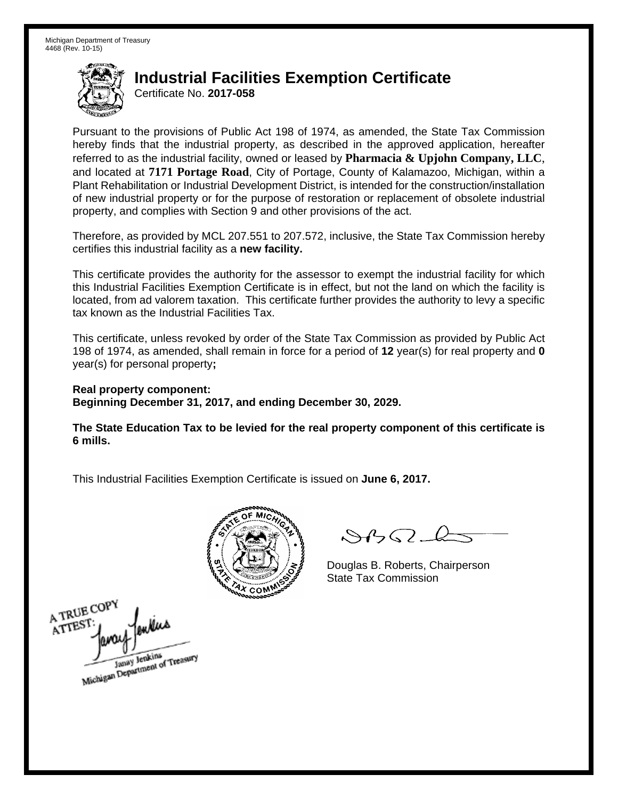Certificate No. **2017-058**

Pursuant to the provisions of Public Act 198 of 1974, as amended, the State Tax Commission hereby finds that the industrial property, as described in the approved application, hereafter referred to as the industrial facility, owned or leased by **Pharmacia & Upjohn Company, LLC**, and located at **7171 Portage Road**, City of Portage, County of Kalamazoo, Michigan, within a Plant Rehabilitation or Industrial Development District, is intended for the construction/installation of new industrial property or for the purpose of restoration or replacement of obsolete industrial property, and complies with Section 9 and other provisions of the act.

Therefore, as provided by MCL 207.551 to 207.572, inclusive, the State Tax Commission hereby certifies this industrial facility as a **new facility.** 

This certificate provides the authority for the assessor to exempt the industrial facility for which this Industrial Facilities Exemption Certificate is in effect, but not the land on which the facility is located, from ad valorem taxation. This certificate further provides the authority to levy a specific tax known as the Industrial Facilities Tax.

This certificate, unless revoked by order of the State Tax Commission as provided by Public Act 198 of 1974, as amended, shall remain in force for a period of **12** year(s) for real property and **0** year(s) for personal property**;** 

**Real property component: Beginning December 31, 2017, and ending December 30, 2029.** 

**The State Education Tax to be levied for the real property component of this certificate is 6 mills.** 



 $8450 - 6$ 

Douglas B. Roberts, Chairperson State Tax Commission

A TRUE COPY A TREST Janay Jenkins<br>Michigan Department of Treasury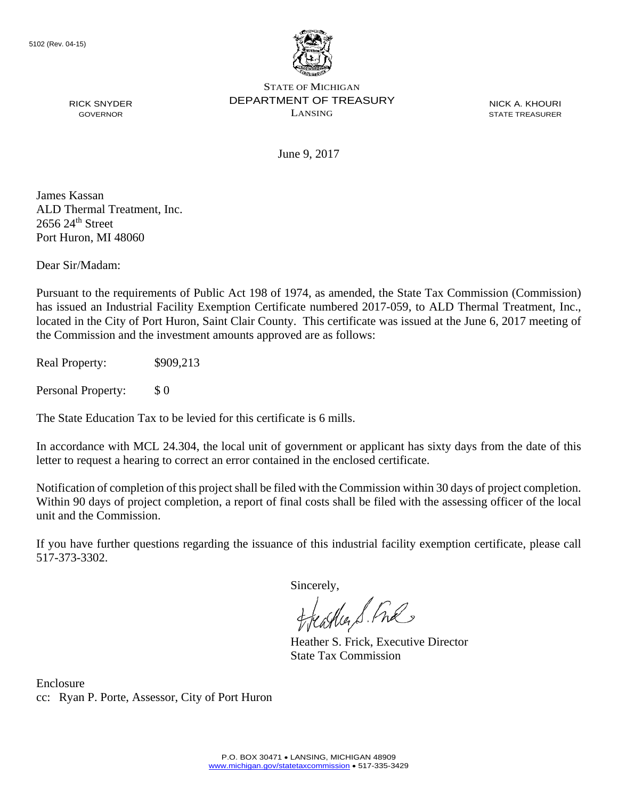

NICK A. KHOURI STATE TREASURER

June 9, 2017

James Kassan ALD Thermal Treatment, Inc.  $2656$   $24<sup>th</sup>$  Street Port Huron, MI 48060

RICK SNYDER GOVERNOR

Dear Sir/Madam:

Pursuant to the requirements of Public Act 198 of 1974, as amended, the State Tax Commission (Commission) has issued an Industrial Facility Exemption Certificate numbered 2017-059, to ALD Thermal Treatment, Inc., located in the City of Port Huron, Saint Clair County. This certificate was issued at the June 6, 2017 meeting of the Commission and the investment amounts approved are as follows:

Real Property: \$909,213

Personal Property: \$ 0

The State Education Tax to be levied for this certificate is 6 mills.

In accordance with MCL 24.304, the local unit of government or applicant has sixty days from the date of this letter to request a hearing to correct an error contained in the enclosed certificate.

Notification of completion of this project shall be filed with the Commission within 30 days of project completion. Within 90 days of project completion, a report of final costs shall be filed with the assessing officer of the local unit and the Commission.

If you have further questions regarding the issuance of this industrial facility exemption certificate, please call 517-373-3302.

Sincerely,

teacher S. Ful

Heather S. Frick, Executive Director State Tax Commission

Enclosure cc: Ryan P. Porte, Assessor, City of Port Huron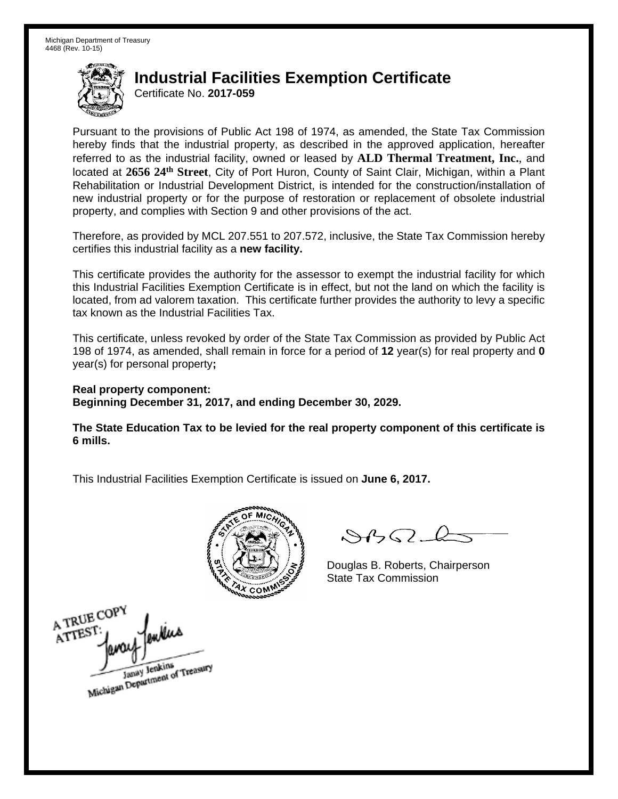Certificate No. **2017-059**

Pursuant to the provisions of Public Act 198 of 1974, as amended, the State Tax Commission hereby finds that the industrial property, as described in the approved application, hereafter referred to as the industrial facility, owned or leased by **ALD Thermal Treatment, Inc.**, and located at **2656 24th Street**, City of Port Huron, County of Saint Clair, Michigan, within a Plant Rehabilitation or Industrial Development District, is intended for the construction/installation of new industrial property or for the purpose of restoration or replacement of obsolete industrial property, and complies with Section 9 and other provisions of the act.

Therefore, as provided by MCL 207.551 to 207.572, inclusive, the State Tax Commission hereby certifies this industrial facility as a **new facility.** 

This certificate provides the authority for the assessor to exempt the industrial facility for which this Industrial Facilities Exemption Certificate is in effect, but not the land on which the facility is located, from ad valorem taxation. This certificate further provides the authority to levy a specific tax known as the Industrial Facilities Tax.

This certificate, unless revoked by order of the State Tax Commission as provided by Public Act 198 of 1974, as amended, shall remain in force for a period of **12** year(s) for real property and **0** year(s) for personal property**;** 

**Real property component: Beginning December 31, 2017, and ending December 30, 2029.** 

**The State Education Tax to be levied for the real property component of this certificate is 6 mills.** 



 $8450 - 6$ 

Douglas B. Roberts, Chairperson State Tax Commission

A TRUE COP ATTEST Janay Jenkins<br>Michigan Department of Treasury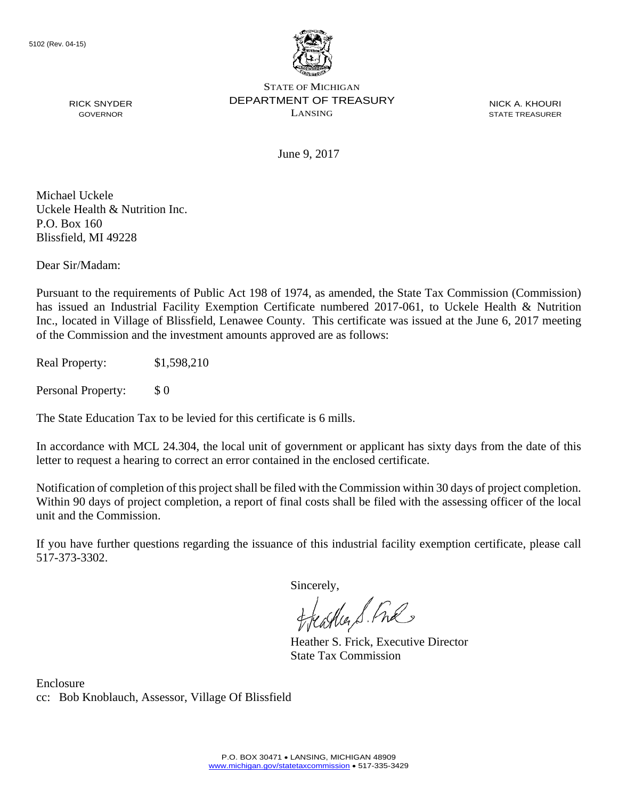

NICK A. KHOURI STATE TREASURER

June 9, 2017

Michael Uckele Uckele Health & Nutrition Inc. P.O. Box 160 Blissfield, MI 49228

RICK SNYDER GOVERNOR

Dear Sir/Madam:

Pursuant to the requirements of Public Act 198 of 1974, as amended, the State Tax Commission (Commission) has issued an Industrial Facility Exemption Certificate numbered 2017-061, to Uckele Health & Nutrition Inc., located in Village of Blissfield, Lenawee County. This certificate was issued at the June 6, 2017 meeting of the Commission and the investment amounts approved are as follows:

Real Property: \$1,598,210

Personal Property: \$ 0

The State Education Tax to be levied for this certificate is 6 mills.

In accordance with MCL 24.304, the local unit of government or applicant has sixty days from the date of this letter to request a hearing to correct an error contained in the enclosed certificate.

Notification of completion of this project shall be filed with the Commission within 30 days of project completion. Within 90 days of project completion, a report of final costs shall be filed with the assessing officer of the local unit and the Commission.

If you have further questions regarding the issuance of this industrial facility exemption certificate, please call 517-373-3302.

Sincerely,

teacher S. Ful

Heather S. Frick, Executive Director State Tax Commission

Enclosure cc: Bob Knoblauch, Assessor, Village Of Blissfield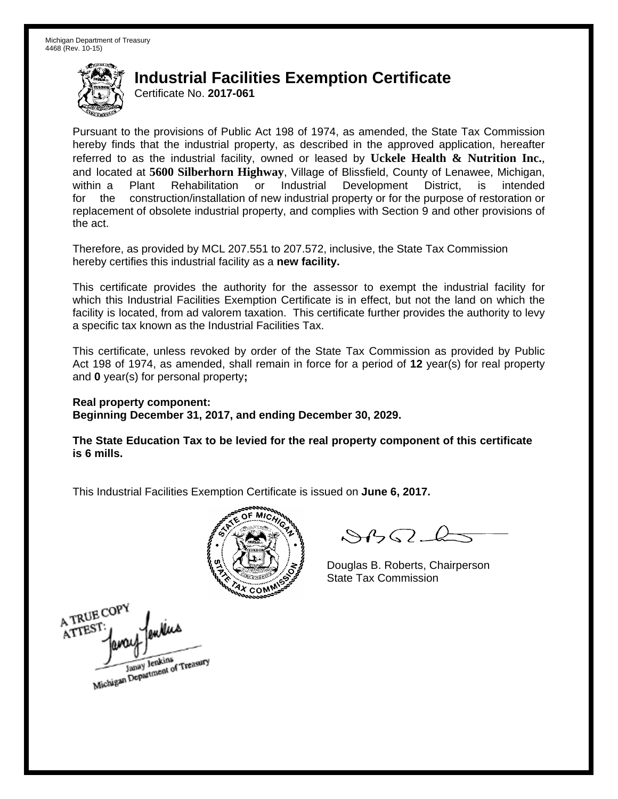Certificate No. **2017-061**

Pursuant to the provisions of Public Act 198 of 1974, as amended, the State Tax Commission hereby finds that the industrial property, as described in the approved application, hereafter referred to as the industrial facility, owned or leased by **Uckele Health & Nutrition Inc.**, and located at **5600 Silberhorn Highway**, Village of Blissfield, County of Lenawee, Michigan, within a Plant Rehabilitation or Industrial Development District, is intended for the construction/installation of new industrial property or for the purpose of restoration or replacement of obsolete industrial property, and complies with Section 9 and other provisions of the act.

Therefore, as provided by MCL 207.551 to 207.572, inclusive, the State Tax Commission hereby certifies this industrial facility as a **new facility.** 

This certificate provides the authority for the assessor to exempt the industrial facility for which this Industrial Facilities Exemption Certificate is in effect, but not the land on which the facility is located, from ad valorem taxation. This certificate further provides the authority to levy a specific tax known as the Industrial Facilities Tax.

This certificate, unless revoked by order of the State Tax Commission as provided by Public Act 198 of 1974, as amended, shall remain in force for a period of **12** year(s) for real property and **0** year(s) for personal property**;** 

**Real property component: Beginning December 31, 2017, and ending December 30, 2029.** 

**The State Education Tax to be levied for the real property component of this certificate is 6 mills.** 



 $\mathcal{A} \cap \mathcal{A} \cap \mathcal{A}$ 

Douglas B. Roberts, Chairperson State Tax Commission

A TRUE COPY ATTEST Janay Jenkins<br>Michigan Department of Treasury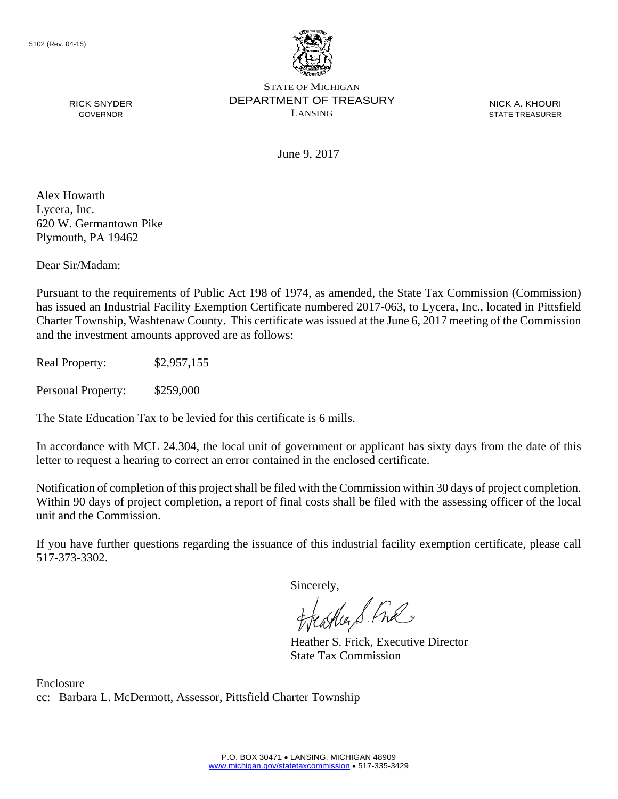

NICK A. KHOURI STATE TREASURER

June 9, 2017

Alex Howarth Lycera, Inc. 620 W. Germantown Pike Plymouth, PA 19462

RICK SNYDER GOVERNOR

Dear Sir/Madam:

Pursuant to the requirements of Public Act 198 of 1974, as amended, the State Tax Commission (Commission) has issued an Industrial Facility Exemption Certificate numbered 2017-063, to Lycera, Inc., located in Pittsfield Charter Township, Washtenaw County. This certificate was issued at the June 6, 2017 meeting of the Commission and the investment amounts approved are as follows:

Real Property: \$2,957,155

Personal Property: \$259,000

The State Education Tax to be levied for this certificate is 6 mills.

In accordance with MCL 24.304, the local unit of government or applicant has sixty days from the date of this letter to request a hearing to correct an error contained in the enclosed certificate.

Notification of completion of this project shall be filed with the Commission within 30 days of project completion. Within 90 days of project completion, a report of final costs shall be filed with the assessing officer of the local unit and the Commission.

If you have further questions regarding the issuance of this industrial facility exemption certificate, please call 517-373-3302.

Sincerely,

feastles S. Ful

Heather S. Frick, Executive Director State Tax Commission

Enclosure cc: Barbara L. McDermott, Assessor, Pittsfield Charter Township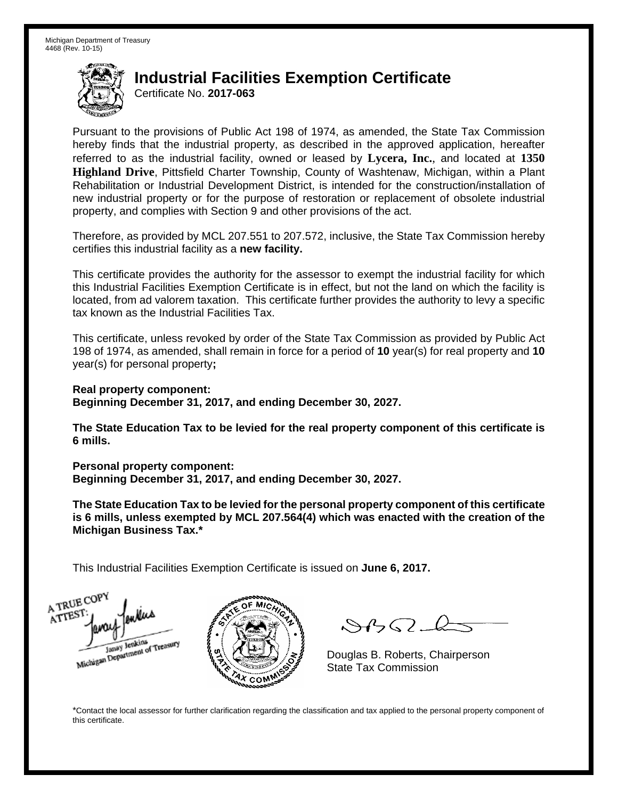Certificate No. **2017-063**

Pursuant to the provisions of Public Act 198 of 1974, as amended, the State Tax Commission hereby finds that the industrial property, as described in the approved application, hereafter referred to as the industrial facility, owned or leased by **Lycera, Inc.**, and located at **1350 Highland Drive**, Pittsfield Charter Township, County of Washtenaw, Michigan, within a Plant Rehabilitation or Industrial Development District, is intended for the construction/installation of new industrial property or for the purpose of restoration or replacement of obsolete industrial property, and complies with Section 9 and other provisions of the act.

Therefore, as provided by MCL 207.551 to 207.572, inclusive, the State Tax Commission hereby certifies this industrial facility as a **new facility.** 

This certificate provides the authority for the assessor to exempt the industrial facility for which this Industrial Facilities Exemption Certificate is in effect, but not the land on which the facility is located, from ad valorem taxation. This certificate further provides the authority to levy a specific tax known as the Industrial Facilities Tax.

This certificate, unless revoked by order of the State Tax Commission as provided by Public Act 198 of 1974, as amended, shall remain in force for a period of **10** year(s) for real property and **10** year(s) for personal property**;** 

**Real property component: Beginning December 31, 2017, and ending December 30, 2027.** 

**The State Education Tax to be levied for the real property component of this certificate is 6 mills.** 

**Personal property component:** 

**Beginning December 31, 2017, and ending December 30, 2027.** 

**The State Education Tax to be levied for the personal property component of this certificate is 6 mills, unless exempted by MCL 207.564(4) which was enacted with the creation of the Michigan Business Tax.\*** 

This Industrial Facilities Exemption Certificate is issued on **June 6, 2017.**

A TRUE COP ATTEST



 $\mathcal{S}4\mathcal{G}$ 

Douglas B. Roberts, Chairperson

\*Contact the local assessor for further clarification regarding the classification and tax applied to the personal property component of this certificate.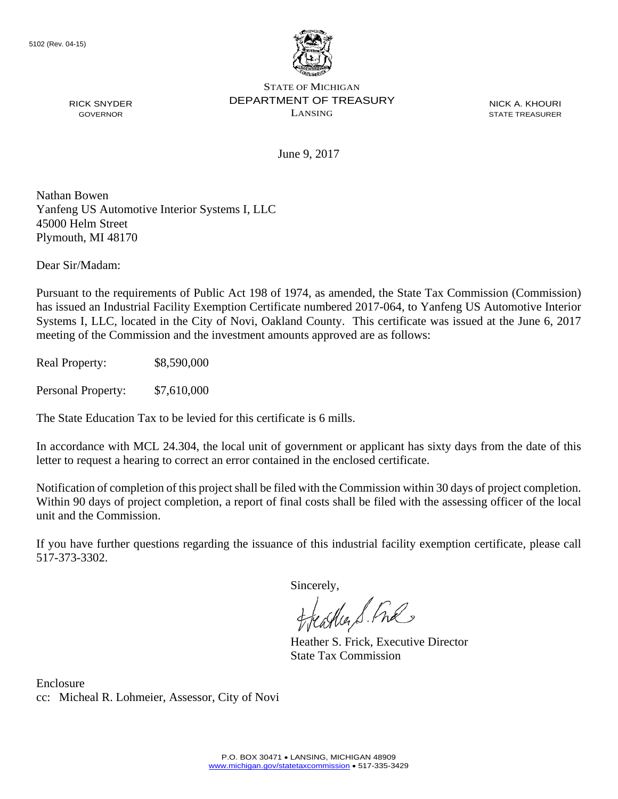

NICK A. KHOURI STATE TREASURER

June 9, 2017

Nathan Bowen Yanfeng US Automotive Interior Systems I, LLC 45000 Helm Street Plymouth, MI 48170

Dear Sir/Madam:

RICK SNYDER GOVERNOR

Pursuant to the requirements of Public Act 198 of 1974, as amended, the State Tax Commission (Commission) has issued an Industrial Facility Exemption Certificate numbered 2017-064, to Yanfeng US Automotive Interior Systems I, LLC, located in the City of Novi, Oakland County. This certificate was issued at the June 6, 2017 meeting of the Commission and the investment amounts approved are as follows:

Real Property: \$8,590,000

Personal Property: \$7,610,000

The State Education Tax to be levied for this certificate is 6 mills.

In accordance with MCL 24.304, the local unit of government or applicant has sixty days from the date of this letter to request a hearing to correct an error contained in the enclosed certificate.

Notification of completion of this project shall be filed with the Commission within 30 days of project completion. Within 90 days of project completion, a report of final costs shall be filed with the assessing officer of the local unit and the Commission.

If you have further questions regarding the issuance of this industrial facility exemption certificate, please call 517-373-3302.

Sincerely,

feastles S. Ful

Heather S. Frick, Executive Director State Tax Commission

Enclosure cc: Micheal R. Lohmeier, Assessor, City of Novi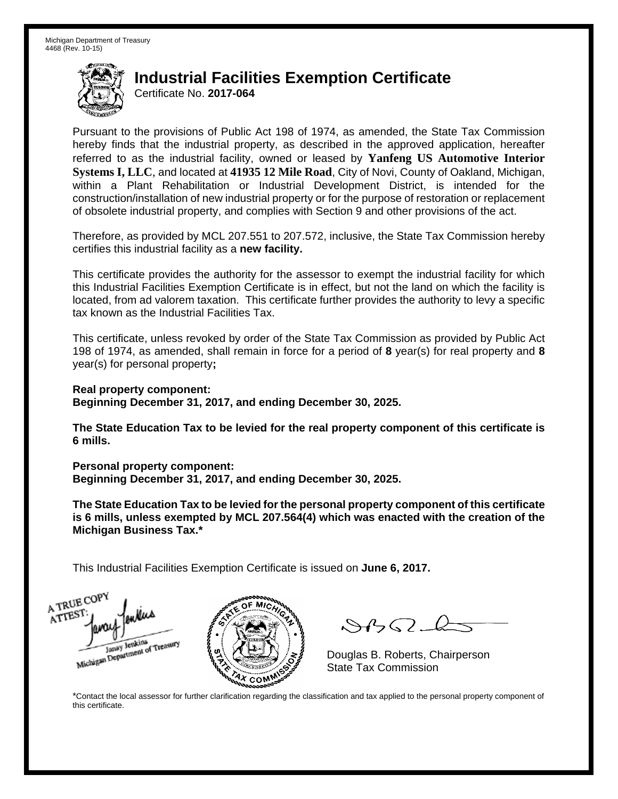Certificate No. **2017-064**

Pursuant to the provisions of Public Act 198 of 1974, as amended, the State Tax Commission hereby finds that the industrial property, as described in the approved application, hereafter referred to as the industrial facility, owned or leased by **Yanfeng US Automotive Interior Systems I, LLC**, and located at **41935 12 Mile Road**, City of Novi, County of Oakland, Michigan, within a Plant Rehabilitation or Industrial Development District, is intended for the construction/installation of new industrial property or for the purpose of restoration or replacement of obsolete industrial property, and complies with Section 9 and other provisions of the act.

Therefore, as provided by MCL 207.551 to 207.572, inclusive, the State Tax Commission hereby certifies this industrial facility as a **new facility.** 

This certificate provides the authority for the assessor to exempt the industrial facility for which this Industrial Facilities Exemption Certificate is in effect, but not the land on which the facility is located, from ad valorem taxation. This certificate further provides the authority to levy a specific tax known as the Industrial Facilities Tax.

This certificate, unless revoked by order of the State Tax Commission as provided by Public Act 198 of 1974, as amended, shall remain in force for a period of **8** year(s) for real property and **8** year(s) for personal property**;** 

**Real property component: Beginning December 31, 2017, and ending December 30, 2025.** 

**The State Education Tax to be levied for the real property component of this certificate is 6 mills.** 

**Personal property component:** 

**Beginning December 31, 2017, and ending December 30, 2025.** 

**The State Education Tax to be levied for the personal property component of this certificate is 6 mills, unless exempted by MCL 207.564(4) which was enacted with the creation of the Michigan Business Tax.\*** 

This Industrial Facilities Exemption Certificate is issued on **June 6, 2017.**





 $\mathcal{S}4\mathcal{G}$ 

Douglas B. Roberts, Chairperson

\*Contact the local assessor for further clarification regarding the classification and tax applied to the personal property component of this certificate.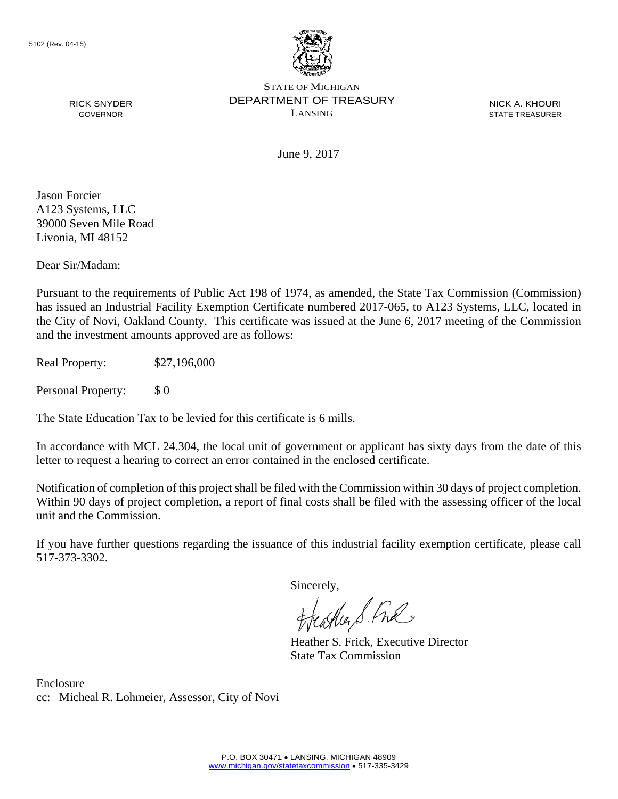

NICK A. KHOURI STATE TREASURER

June 9, 2017

Jason Forcier A123 Systems, LLC 39000 Seven Mile Road Livonia, MI 48152

RICK SNYDER GOVERNOR

Dear Sir/Madam:

Pursuant to the requirements of Public Act 198 of 1974, as amended, the State Tax Commission (Commission) has issued an Industrial Facility Exemption Certificate numbered 2017-065, to A123 Systems, LLC, located in the City of Novi, Oakland County. This certificate was issued at the June 6, 2017 meeting of the Commission and the investment amounts approved are as follows:

Real Property: \$27,196,000

Personal Property: \$ 0

The State Education Tax to be levied for this certificate is 6 mills.

In accordance with MCL 24.304, the local unit of government or applicant has sixty days from the date of this letter to request a hearing to correct an error contained in the enclosed certificate.

Notification of completion of this project shall be filed with the Commission within 30 days of project completion. Within 90 days of project completion, a report of final costs shall be filed with the assessing officer of the local unit and the Commission.

If you have further questions regarding the issuance of this industrial facility exemption certificate, please call 517-373-3302.

Sincerely,

teacher S. Ful

Heather S. Frick, Executive Director State Tax Commission

Enclosure cc: Micheal R. Lohmeier, Assessor, City of Novi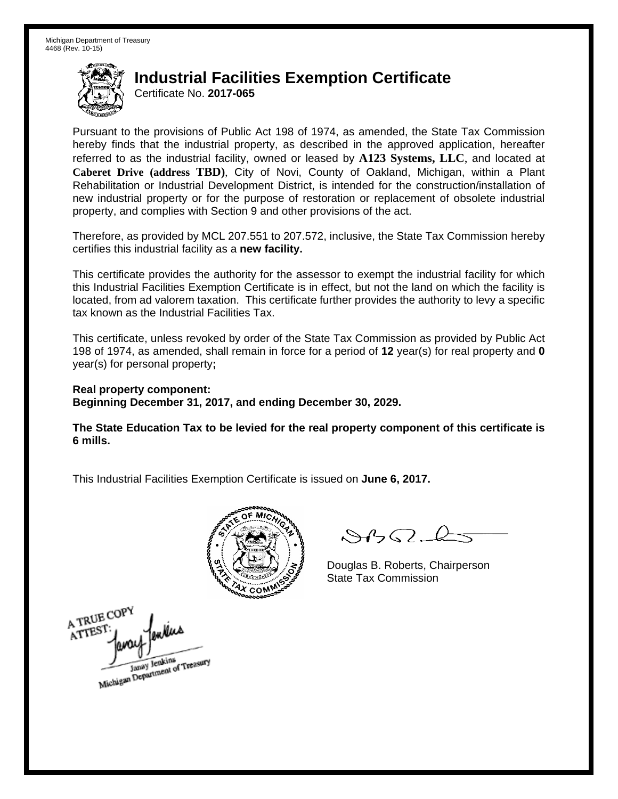Certificate No. **2017-065**

Pursuant to the provisions of Public Act 198 of 1974, as amended, the State Tax Commission hereby finds that the industrial property, as described in the approved application, hereafter referred to as the industrial facility, owned or leased by **A123 Systems, LLC**, and located at **Caberet Drive (address TBD)**, City of Novi, County of Oakland, Michigan, within a Plant Rehabilitation or Industrial Development District, is intended for the construction/installation of new industrial property or for the purpose of restoration or replacement of obsolete industrial property, and complies with Section 9 and other provisions of the act.

Therefore, as provided by MCL 207.551 to 207.572, inclusive, the State Tax Commission hereby certifies this industrial facility as a **new facility.** 

This certificate provides the authority for the assessor to exempt the industrial facility for which this Industrial Facilities Exemption Certificate is in effect, but not the land on which the facility is located, from ad valorem taxation. This certificate further provides the authority to levy a specific tax known as the Industrial Facilities Tax.

This certificate, unless revoked by order of the State Tax Commission as provided by Public Act 198 of 1974, as amended, shall remain in force for a period of **12** year(s) for real property and **0** year(s) for personal property**;** 

**Real property component: Beginning December 31, 2017, and ending December 30, 2029.** 

**The State Education Tax to be levied for the real property component of this certificate is 6 mills.** 



 $8450 - 6$ 

Douglas B. Roberts, Chairperson State Tax Commission

A TRUE COPY ATTEST Janay Jenkins<br>Michigan Department of Treasury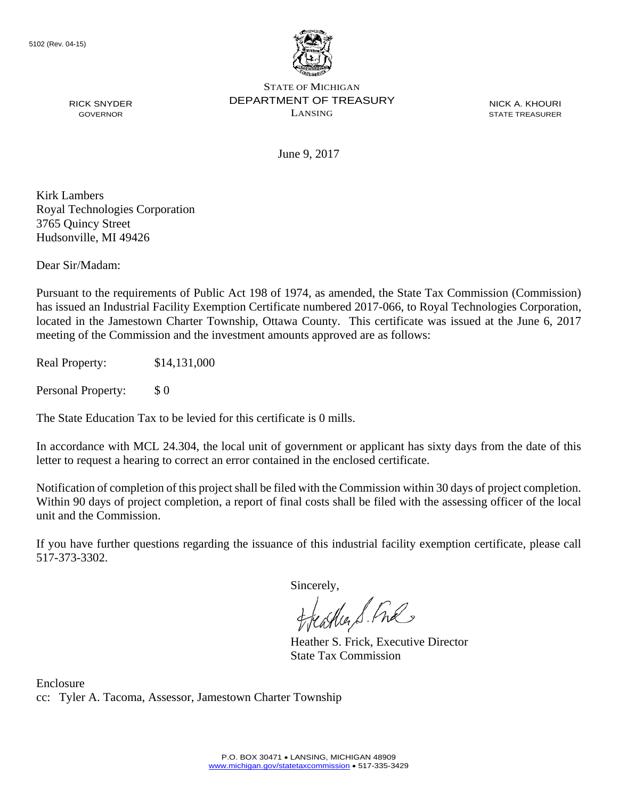

NICK A. KHOURI STATE TREASURER

June 9, 2017

Kirk Lambers Royal Technologies Corporation 3765 Quincy Street Hudsonville, MI 49426

RICK SNYDER GOVERNOR

Dear Sir/Madam:

Pursuant to the requirements of Public Act 198 of 1974, as amended, the State Tax Commission (Commission) has issued an Industrial Facility Exemption Certificate numbered 2017-066, to Royal Technologies Corporation, located in the Jamestown Charter Township, Ottawa County. This certificate was issued at the June 6, 2017 meeting of the Commission and the investment amounts approved are as follows:

Real Property: \$14,131,000

Personal Property: \$ 0

The State Education Tax to be levied for this certificate is 0 mills.

In accordance with MCL 24.304, the local unit of government or applicant has sixty days from the date of this letter to request a hearing to correct an error contained in the enclosed certificate.

Notification of completion of this project shall be filed with the Commission within 30 days of project completion. Within 90 days of project completion, a report of final costs shall be filed with the assessing officer of the local unit and the Commission.

If you have further questions regarding the issuance of this industrial facility exemption certificate, please call 517-373-3302.

Sincerely,

feastles S. Free

Heather S. Frick, Executive Director State Tax Commission

Enclosure cc: Tyler A. Tacoma, Assessor, Jamestown Charter Township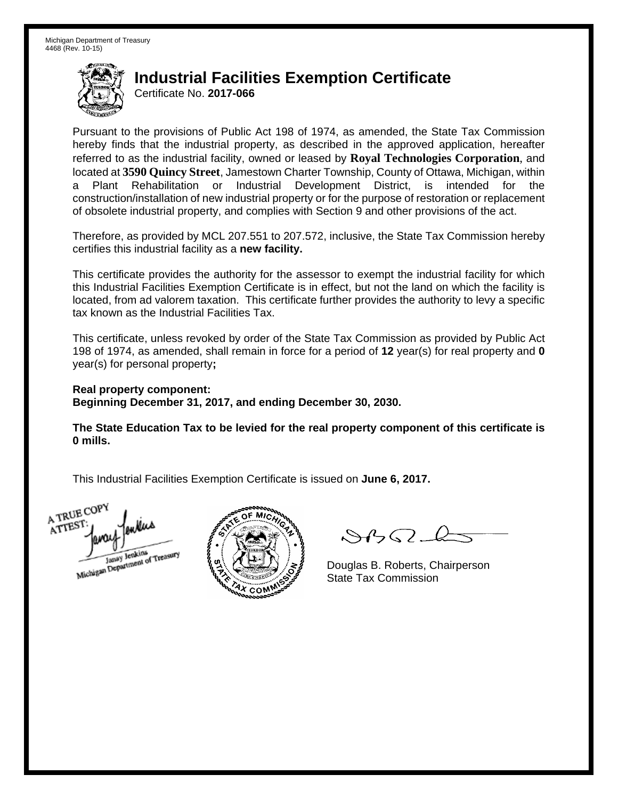Certificate No. **2017-066**

Pursuant to the provisions of Public Act 198 of 1974, as amended, the State Tax Commission hereby finds that the industrial property, as described in the approved application, hereafter referred to as the industrial facility, owned or leased by **Royal Technologies Corporation**, and located at **3590 Quincy Street**, Jamestown Charter Township, County of Ottawa, Michigan, within a Plant Rehabilitation or Industrial Development District, is intended for the construction/installation of new industrial property or for the purpose of restoration or replacement of obsolete industrial property, and complies with Section 9 and other provisions of the act.

Therefore, as provided by MCL 207.551 to 207.572, inclusive, the State Tax Commission hereby certifies this industrial facility as a **new facility.** 

This certificate provides the authority for the assessor to exempt the industrial facility for which this Industrial Facilities Exemption Certificate is in effect, but not the land on which the facility is located, from ad valorem taxation. This certificate further provides the authority to levy a specific tax known as the Industrial Facilities Tax.

This certificate, unless revoked by order of the State Tax Commission as provided by Public Act 198 of 1974, as amended, shall remain in force for a period of **12** year(s) for real property and **0** year(s) for personal property**;** 

**Real property component: Beginning December 31, 2017, and ending December 30, 2030.** 

**The State Education Tax to be levied for the real property component of this certificate is 0 mills.** 

A TRUE COP ATTES! Janay Jenkins



 $8450 - 6$ 

Douglas B. Roberts, Chairperson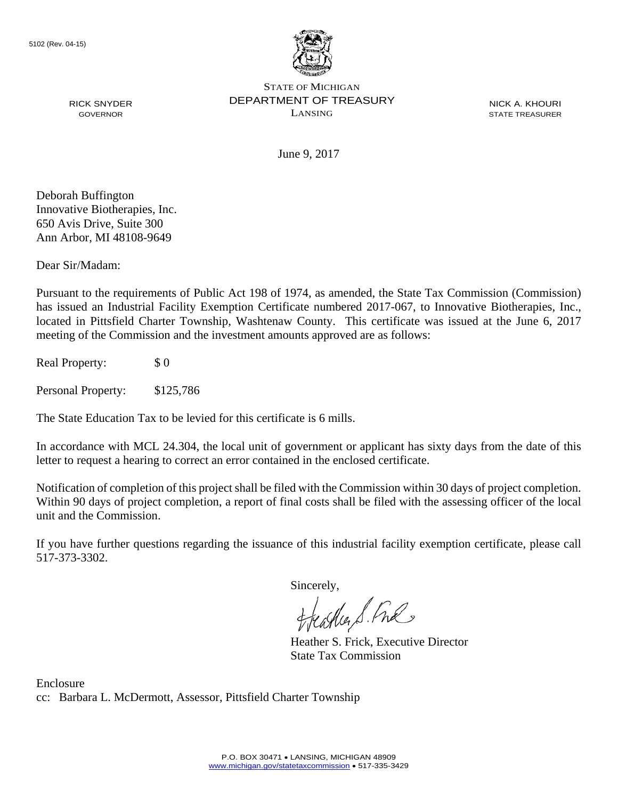

NICK A. KHOURI STATE TREASURER

June 9, 2017

Deborah Buffington Innovative Biotherapies, Inc. 650 Avis Drive, Suite 300 Ann Arbor, MI 48108-9649

RICK SNYDER GOVERNOR

Dear Sir/Madam:

Pursuant to the requirements of Public Act 198 of 1974, as amended, the State Tax Commission (Commission) has issued an Industrial Facility Exemption Certificate numbered 2017-067, to Innovative Biotherapies, Inc., located in Pittsfield Charter Township, Washtenaw County. This certificate was issued at the June 6, 2017 meeting of the Commission and the investment amounts approved are as follows:

Real Property: \$ 0

Personal Property: \$125,786

The State Education Tax to be levied for this certificate is 6 mills.

In accordance with MCL 24.304, the local unit of government or applicant has sixty days from the date of this letter to request a hearing to correct an error contained in the enclosed certificate.

Notification of completion of this project shall be filed with the Commission within 30 days of project completion. Within 90 days of project completion, a report of final costs shall be filed with the assessing officer of the local unit and the Commission.

If you have further questions regarding the issuance of this industrial facility exemption certificate, please call 517-373-3302.

Sincerely,

feastles S. Ful

Heather S. Frick, Executive Director State Tax Commission

Enclosure cc: Barbara L. McDermott, Assessor, Pittsfield Charter Township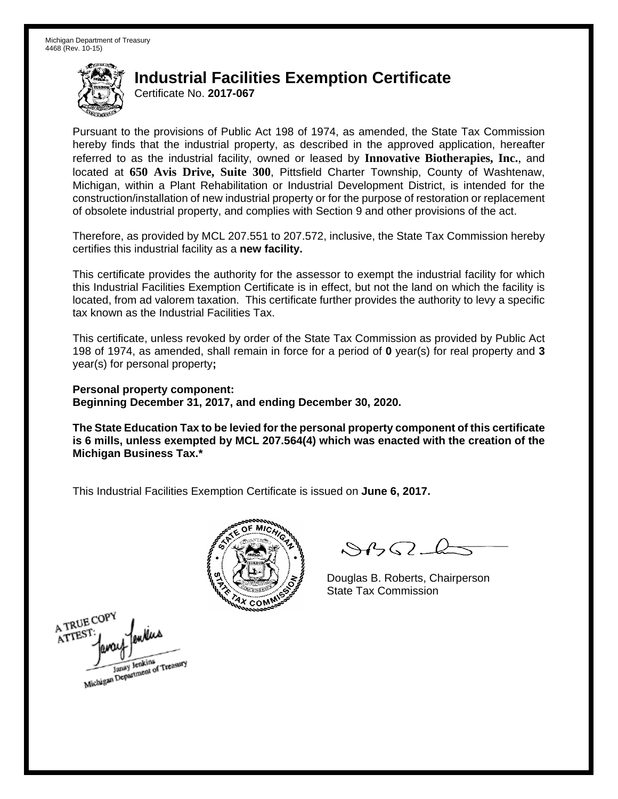Certificate No. **2017-067**

Pursuant to the provisions of Public Act 198 of 1974, as amended, the State Tax Commission hereby finds that the industrial property, as described in the approved application, hereafter referred to as the industrial facility, owned or leased by **Innovative Biotherapies, Inc.**, and located at **650 Avis Drive, Suite 300**, Pittsfield Charter Township, County of Washtenaw, Michigan, within a Plant Rehabilitation or Industrial Development District, is intended for the construction/installation of new industrial property or for the purpose of restoration or replacement of obsolete industrial property, and complies with Section 9 and other provisions of the act.

Therefore, as provided by MCL 207.551 to 207.572, inclusive, the State Tax Commission hereby certifies this industrial facility as a **new facility.** 

This certificate provides the authority for the assessor to exempt the industrial facility for which this Industrial Facilities Exemption Certificate is in effect, but not the land on which the facility is located, from ad valorem taxation. This certificate further provides the authority to levy a specific tax known as the Industrial Facilities Tax.

This certificate, unless revoked by order of the State Tax Commission as provided by Public Act 198 of 1974, as amended, shall remain in force for a period of **0** year(s) for real property and **3** year(s) for personal property**;** 

**Personal property component: Beginning December 31, 2017, and ending December 30, 2020.** 

**The State Education Tax to be levied for the personal property component of this certificate is 6 mills, unless exempted by MCL 207.564(4) which was enacted with the creation of the Michigan Business Tax.\*** 



 $\mathcal{S}4\mathcal{G}$ 

Douglas B. Roberts, Chairperson

A TRUE COPY ATTEST Michigan Department of Treasury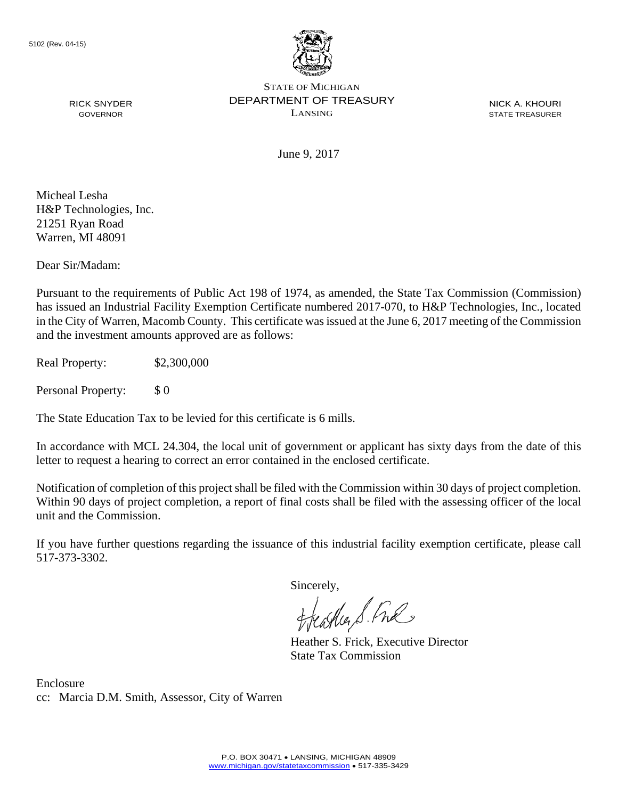

NICK A. KHOURI STATE TREASURER

June 9, 2017

Micheal Lesha H&P Technologies, Inc. 21251 Ryan Road Warren, MI 48091

RICK SNYDER GOVERNOR

Dear Sir/Madam:

Pursuant to the requirements of Public Act 198 of 1974, as amended, the State Tax Commission (Commission) has issued an Industrial Facility Exemption Certificate numbered 2017-070, to H&P Technologies, Inc., located in the City of Warren, Macomb County. This certificate was issued at the June 6, 2017 meeting of the Commission and the investment amounts approved are as follows:

Real Property: \$2,300,000

Personal Property: \$ 0

The State Education Tax to be levied for this certificate is 6 mills.

In accordance with MCL 24.304, the local unit of government or applicant has sixty days from the date of this letter to request a hearing to correct an error contained in the enclosed certificate.

Notification of completion of this project shall be filed with the Commission within 30 days of project completion. Within 90 days of project completion, a report of final costs shall be filed with the assessing officer of the local unit and the Commission.

If you have further questions regarding the issuance of this industrial facility exemption certificate, please call 517-373-3302.

Sincerely,

teacher S. Ful

Heather S. Frick, Executive Director State Tax Commission

Enclosure cc: Marcia D.M. Smith, Assessor, City of Warren